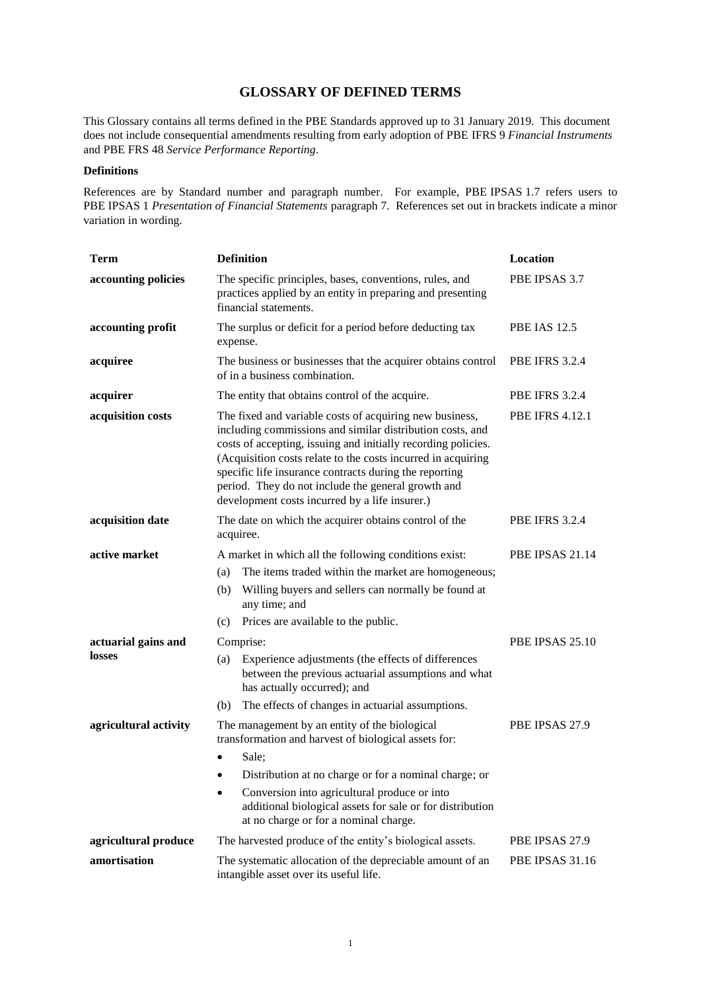This Glossary contains all terms defined in the PBE Standards approved up to 31 January 2019. This document does not include consequential amendments resulting from early adoption of PBE IFRS 9 *Financial Instruments* and PBE FRS 48 *Service Performance Reporting*.

#### **Definitions**

References are by Standard number and paragraph number. For example, PBE IPSAS 1.7 refers users to PBE IPSAS 1 *Presentation of Financial Statements* paragraph 7. References set out in brackets indicate a minor variation in wording.

| <b>Term</b>           | <b>Definition</b>                                                                                                                                                                                                                                                                                                                                                                                                       | Location               |
|-----------------------|-------------------------------------------------------------------------------------------------------------------------------------------------------------------------------------------------------------------------------------------------------------------------------------------------------------------------------------------------------------------------------------------------------------------------|------------------------|
| accounting policies   | The specific principles, bases, conventions, rules, and<br>practices applied by an entity in preparing and presenting<br>financial statements.                                                                                                                                                                                                                                                                          | PBE IPSAS 3.7          |
| accounting profit     | The surplus or deficit for a period before deducting tax<br>expense.                                                                                                                                                                                                                                                                                                                                                    | <b>PBE IAS 12.5</b>    |
| acquiree              | The business or businesses that the acquirer obtains control<br>of in a business combination.                                                                                                                                                                                                                                                                                                                           | <b>PBE IFRS 3.2.4</b>  |
| acquirer              | The entity that obtains control of the acquire.                                                                                                                                                                                                                                                                                                                                                                         | <b>PBE IFRS 3.2.4</b>  |
| acquisition costs     | The fixed and variable costs of acquiring new business,<br>including commissions and similar distribution costs, and<br>costs of accepting, issuing and initially recording policies.<br>(Acquisition costs relate to the costs incurred in acquiring<br>specific life insurance contracts during the reporting<br>period. They do not include the general growth and<br>development costs incurred by a life insurer.) | <b>PBE IFRS 4.12.1</b> |
| acquisition date      | The date on which the acquirer obtains control of the<br>acquiree.                                                                                                                                                                                                                                                                                                                                                      | <b>PBE IFRS 3.2.4</b>  |
| active market         | A market in which all the following conditions exist:                                                                                                                                                                                                                                                                                                                                                                   | PBE IPSAS 21.14        |
|                       | The items traded within the market are homogeneous;<br>(a)                                                                                                                                                                                                                                                                                                                                                              |                        |
|                       | Willing buyers and sellers can normally be found at<br>(b)<br>any time; and                                                                                                                                                                                                                                                                                                                                             |                        |
|                       | Prices are available to the public.<br>(c)                                                                                                                                                                                                                                                                                                                                                                              |                        |
| actuarial gains and   | Comprise:                                                                                                                                                                                                                                                                                                                                                                                                               | PBE IPSAS 25.10        |
| losses                | Experience adjustments (the effects of differences<br>(a)<br>between the previous actuarial assumptions and what<br>has actually occurred); and                                                                                                                                                                                                                                                                         |                        |
|                       | The effects of changes in actuarial assumptions.<br>(b)                                                                                                                                                                                                                                                                                                                                                                 |                        |
| agricultural activity | The management by an entity of the biological<br>transformation and harvest of biological assets for:                                                                                                                                                                                                                                                                                                                   | PBE IPSAS 27.9         |
|                       | Sale:                                                                                                                                                                                                                                                                                                                                                                                                                   |                        |
|                       | Distribution at no charge or for a nominal charge; or<br>٠                                                                                                                                                                                                                                                                                                                                                              |                        |
|                       | Conversion into agricultural produce or into<br>$\bullet$<br>additional biological assets for sale or for distribution<br>at no charge or for a nominal charge.                                                                                                                                                                                                                                                         |                        |
| agricultural produce  | The harvested produce of the entity's biological assets.                                                                                                                                                                                                                                                                                                                                                                | PBE IPSAS 27.9         |
| amortisation          | The systematic allocation of the depreciable amount of an<br>intangible asset over its useful life.                                                                                                                                                                                                                                                                                                                     | <b>PBE IPSAS 31.16</b> |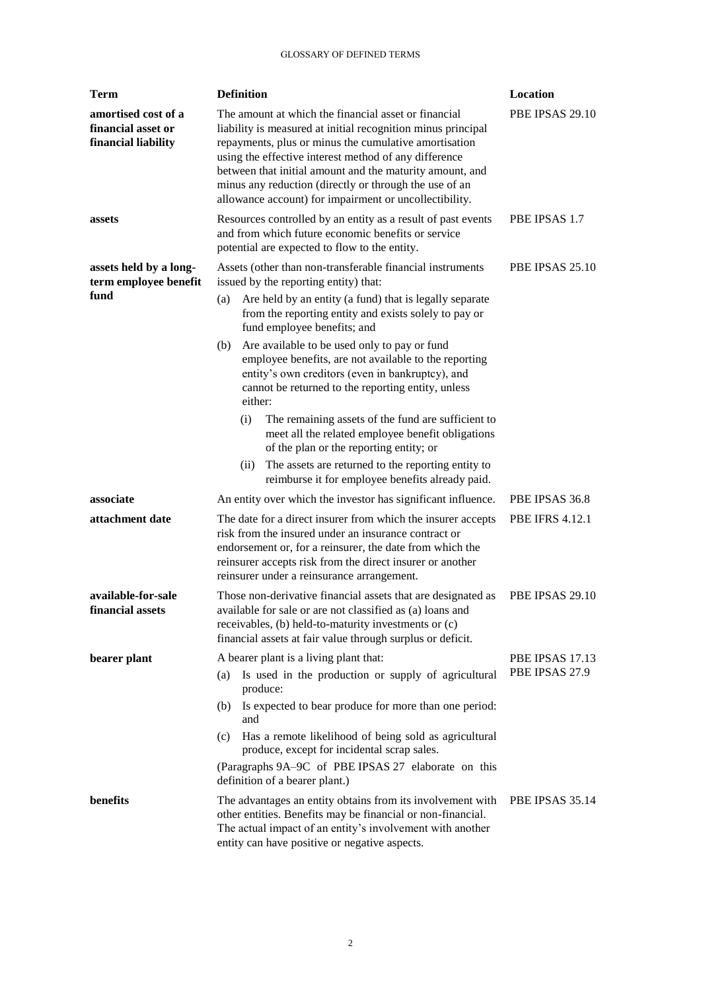| <b>Term</b>                                                      | <b>Definition</b>                                                                                                                                                                                                                                                                                                                                                                                                                                                                                                                                                                                                                                                                                                             | Location                          |
|------------------------------------------------------------------|-------------------------------------------------------------------------------------------------------------------------------------------------------------------------------------------------------------------------------------------------------------------------------------------------------------------------------------------------------------------------------------------------------------------------------------------------------------------------------------------------------------------------------------------------------------------------------------------------------------------------------------------------------------------------------------------------------------------------------|-----------------------------------|
| amortised cost of a<br>financial asset or<br>financial liability | The amount at which the financial asset or financial<br>liability is measured at initial recognition minus principal<br>repayments, plus or minus the cumulative amortisation<br>using the effective interest method of any difference<br>between that initial amount and the maturity amount, and<br>minus any reduction (directly or through the use of an<br>allowance account) for impairment or uncollectibility.                                                                                                                                                                                                                                                                                                        | PBE IPSAS 29.10                   |
| assets                                                           | Resources controlled by an entity as a result of past events<br>and from which future economic benefits or service<br>potential are expected to flow to the entity.                                                                                                                                                                                                                                                                                                                                                                                                                                                                                                                                                           | PBE IPSAS 1.7                     |
| assets held by a long-<br>term employee benefit<br>fund          | Assets (other than non-transferable financial instruments)<br>issued by the reporting entity) that:<br>Are held by an entity (a fund) that is legally separate<br>(a)<br>from the reporting entity and exists solely to pay or<br>fund employee benefits; and<br>Are available to be used only to pay or fund<br>(b)<br>employee benefits, are not available to the reporting<br>entity's own creditors (even in bankruptcy), and<br>cannot be returned to the reporting entity, unless<br>either:<br>The remaining assets of the fund are sufficient to<br>(i)<br>meet all the related employee benefit obligations<br>of the plan or the reporting entity; or<br>The assets are returned to the reporting entity to<br>(ii) | PBE IPSAS 25.10                   |
| associate                                                        | reimburse it for employee benefits already paid.<br>An entity over which the investor has significant influence.                                                                                                                                                                                                                                                                                                                                                                                                                                                                                                                                                                                                              | PBE IPSAS 36.8                    |
| attachment date                                                  | The date for a direct insurer from which the insurer accepts<br>risk from the insured under an insurance contract or<br>endorsement or, for a reinsurer, the date from which the<br>reinsurer accepts risk from the direct insurer or another<br>reinsurer under a reinsurance arrangement.                                                                                                                                                                                                                                                                                                                                                                                                                                   | <b>PBE IFRS 4.12.1</b>            |
| available-for-sale<br>financial assets                           | Those non-derivative financial assets that are designated as<br>available for sale or are not classified as (a) loans and<br>receivables, (b) held-to-maturity investments or (c)<br>financial assets at fair value through surplus or deficit.                                                                                                                                                                                                                                                                                                                                                                                                                                                                               | PBE IPSAS 29.10                   |
| bearer plant                                                     | A bearer plant is a living plant that:<br>Is used in the production or supply of agricultural<br>(a)<br>produce:<br>Is expected to bear produce for more than one period:<br>(b)<br>and<br>Has a remote likelihood of being sold as agricultural<br>(c)<br>produce, except for incidental scrap sales.<br>(Paragraphs 9A-9C of PBE IPSAS 27 elaborate on this<br>definition of a bearer plant.)                                                                                                                                                                                                                                                                                                                               | PBE IPSAS 17.13<br>PBE IPSAS 27.9 |
| benefits                                                         | The advantages an entity obtains from its involvement with<br>other entities. Benefits may be financial or non-financial.<br>The actual impact of an entity's involvement with another<br>entity can have positive or negative aspects.                                                                                                                                                                                                                                                                                                                                                                                                                                                                                       | PBE IPSAS 35.14                   |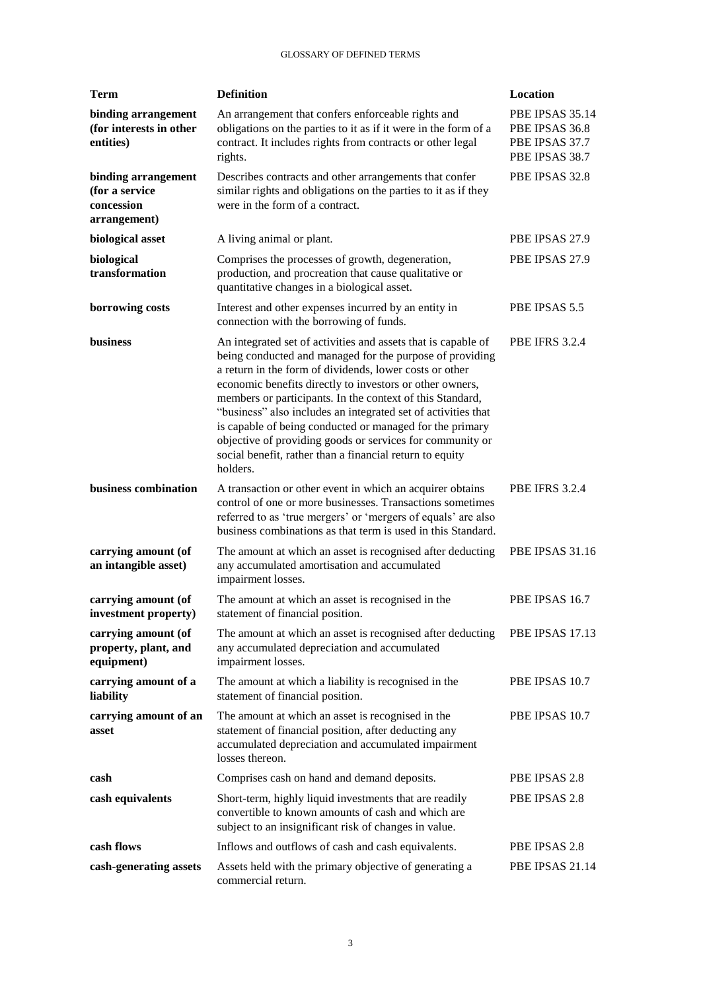| <b>Term</b>                                                         | <b>Definition</b>                                                                                                                                                                                                                                                                                                                                                                                                                                                                                                                                                               | Location                                                              |
|---------------------------------------------------------------------|---------------------------------------------------------------------------------------------------------------------------------------------------------------------------------------------------------------------------------------------------------------------------------------------------------------------------------------------------------------------------------------------------------------------------------------------------------------------------------------------------------------------------------------------------------------------------------|-----------------------------------------------------------------------|
| binding arrangement<br>(for interests in other<br>entities)         | An arrangement that confers enforceable rights and<br>obligations on the parties to it as if it were in the form of a<br>contract. It includes rights from contracts or other legal<br>rights.                                                                                                                                                                                                                                                                                                                                                                                  | PBE IPSAS 35.14<br>PBE IPSAS 36.8<br>PBE IPSAS 37.7<br>PBE IPSAS 38.7 |
| binding arrangement<br>(for a service<br>concession<br>arrangement) | Describes contracts and other arrangements that confer<br>similar rights and obligations on the parties to it as if they<br>were in the form of a contract.                                                                                                                                                                                                                                                                                                                                                                                                                     | PBE IPSAS 32.8                                                        |
| biological asset                                                    | A living animal or plant.                                                                                                                                                                                                                                                                                                                                                                                                                                                                                                                                                       | PBE IPSAS 27.9                                                        |
| biological<br>transformation                                        | Comprises the processes of growth, degeneration,<br>production, and procreation that cause qualitative or<br>quantitative changes in a biological asset.                                                                                                                                                                                                                                                                                                                                                                                                                        | PBE IPSAS 27.9                                                        |
| borrowing costs                                                     | Interest and other expenses incurred by an entity in<br>connection with the borrowing of funds.                                                                                                                                                                                                                                                                                                                                                                                                                                                                                 | PBE IPSAS 5.5                                                         |
| business                                                            | An integrated set of activities and assets that is capable of<br>being conducted and managed for the purpose of providing<br>a return in the form of dividends, lower costs or other<br>economic benefits directly to investors or other owners,<br>members or participants. In the context of this Standard,<br>"business" also includes an integrated set of activities that<br>is capable of being conducted or managed for the primary<br>objective of providing goods or services for community or<br>social benefit, rather than a financial return to equity<br>holders. | <b>PBE IFRS 3.2.4</b>                                                 |
| business combination                                                | A transaction or other event in which an acquirer obtains<br>control of one or more businesses. Transactions sometimes<br>referred to as 'true mergers' or 'mergers of equals' are also<br>business combinations as that term is used in this Standard.                                                                                                                                                                                                                                                                                                                         | <b>PBE IFRS 3.2.4</b>                                                 |
| carrying amount (of<br>an intangible asset)                         | The amount at which an asset is recognised after deducting<br>any accumulated amortisation and accumulated<br>impairment losses.                                                                                                                                                                                                                                                                                                                                                                                                                                                | <b>PBE IPSAS 31.16</b>                                                |
| carrying amount (of<br>investment property)                         | The amount at which an asset is recognised in the<br>statement of financial position.                                                                                                                                                                                                                                                                                                                                                                                                                                                                                           | PBE IPSAS 16.7                                                        |
| carrying amount (of<br>property, plant, and<br>equipment)           | The amount at which an asset is recognised after deducting<br>any accumulated depreciation and accumulated<br>impairment losses.                                                                                                                                                                                                                                                                                                                                                                                                                                                | PBE IPSAS 17.13                                                       |
| carrying amount of a<br>liability                                   | The amount at which a liability is recognised in the<br>statement of financial position.                                                                                                                                                                                                                                                                                                                                                                                                                                                                                        | PBE IPSAS 10.7                                                        |
| carrying amount of an<br>asset                                      | The amount at which an asset is recognised in the<br>statement of financial position, after deducting any<br>accumulated depreciation and accumulated impairment<br>losses thereon.                                                                                                                                                                                                                                                                                                                                                                                             | PBE IPSAS 10.7                                                        |
| cash                                                                | Comprises cash on hand and demand deposits.                                                                                                                                                                                                                                                                                                                                                                                                                                                                                                                                     | PBE IPSAS 2.8                                                         |
| cash equivalents                                                    | Short-term, highly liquid investments that are readily<br>convertible to known amounts of cash and which are<br>subject to an insignificant risk of changes in value.                                                                                                                                                                                                                                                                                                                                                                                                           | PBE IPSAS 2.8                                                         |
| cash flows                                                          | Inflows and outflows of cash and cash equivalents.                                                                                                                                                                                                                                                                                                                                                                                                                                                                                                                              | PBE IPSAS 2.8                                                         |
| cash-generating assets                                              | Assets held with the primary objective of generating a<br>commercial return.                                                                                                                                                                                                                                                                                                                                                                                                                                                                                                    | PBE IPSAS 21.14                                                       |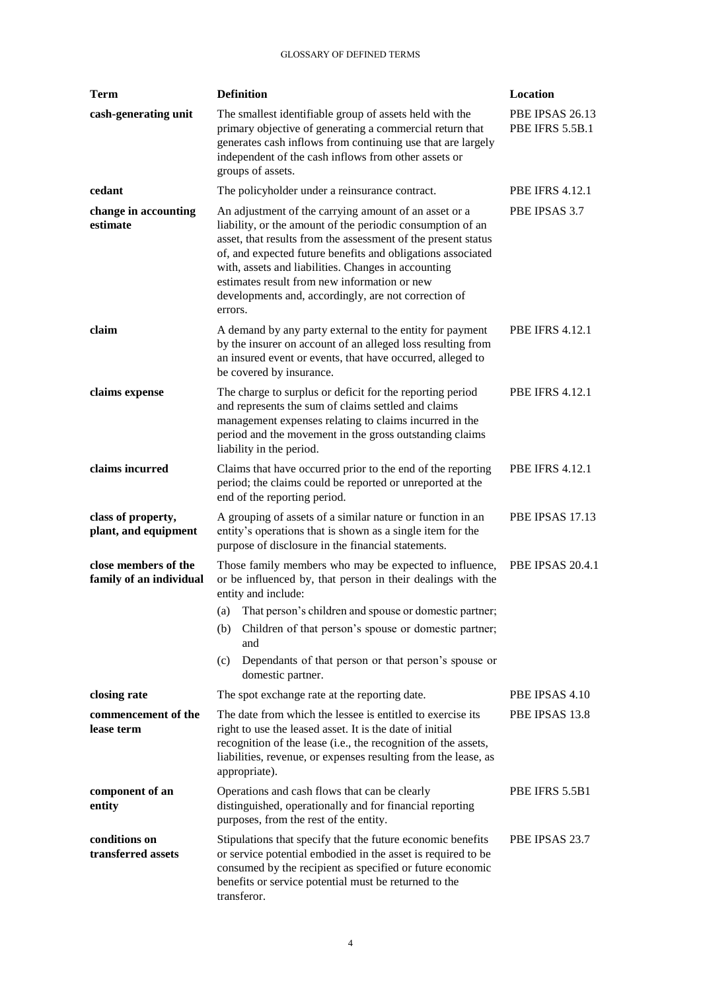| <b>Term</b>                                     | <b>Definition</b>                                                                                                                                                                                                                                                                                                                                                                                                             | Location                                  |
|-------------------------------------------------|-------------------------------------------------------------------------------------------------------------------------------------------------------------------------------------------------------------------------------------------------------------------------------------------------------------------------------------------------------------------------------------------------------------------------------|-------------------------------------------|
| cash-generating unit                            | The smallest identifiable group of assets held with the<br>primary objective of generating a commercial return that<br>generates cash inflows from continuing use that are largely<br>independent of the cash inflows from other assets or<br>groups of assets.                                                                                                                                                               | PBE IPSAS 26.13<br><b>PBE IFRS 5.5B.1</b> |
| cedant                                          | The policyholder under a reinsurance contract.                                                                                                                                                                                                                                                                                                                                                                                | <b>PBE IFRS 4.12.1</b>                    |
| change in accounting<br>estimate                | An adjustment of the carrying amount of an asset or a<br>liability, or the amount of the periodic consumption of an<br>asset, that results from the assessment of the present status<br>of, and expected future benefits and obligations associated<br>with, assets and liabilities. Changes in accounting<br>estimates result from new information or new<br>developments and, accordingly, are not correction of<br>errors. | PBE IPSAS 3.7                             |
| claim                                           | A demand by any party external to the entity for payment<br>by the insurer on account of an alleged loss resulting from<br>an insured event or events, that have occurred, alleged to<br>be covered by insurance.                                                                                                                                                                                                             | <b>PBE IFRS 4.12.1</b>                    |
| claims expense                                  | The charge to surplus or deficit for the reporting period<br>and represents the sum of claims settled and claims<br>management expenses relating to claims incurred in the<br>period and the movement in the gross outstanding claims<br>liability in the period.                                                                                                                                                             | <b>PBE IFRS 4.12.1</b>                    |
| claims incurred                                 | Claims that have occurred prior to the end of the reporting<br>period; the claims could be reported or unreported at the<br>end of the reporting period.                                                                                                                                                                                                                                                                      | <b>PBE IFRS 4.12.1</b>                    |
| class of property,<br>plant, and equipment      | A grouping of assets of a similar nature or function in an<br>entity's operations that is shown as a single item for the<br>purpose of disclosure in the financial statements.                                                                                                                                                                                                                                                | PBE IPSAS 17.13                           |
| close members of the<br>family of an individual | Those family members who may be expected to influence,<br>or be influenced by, that person in their dealings with the<br>entity and include:                                                                                                                                                                                                                                                                                  | <b>PBE IPSAS 20.4.1</b>                   |
|                                                 | (a) That person's children and spouse or domestic partner;                                                                                                                                                                                                                                                                                                                                                                    |                                           |
|                                                 | Children of that person's spouse or domestic partner;<br>(b)<br>and                                                                                                                                                                                                                                                                                                                                                           |                                           |
|                                                 | Dependants of that person or that person's spouse or<br>(c)<br>domestic partner.                                                                                                                                                                                                                                                                                                                                              |                                           |
| closing rate                                    | The spot exchange rate at the reporting date.                                                                                                                                                                                                                                                                                                                                                                                 | PBE IPSAS 4.10                            |
| commencement of the<br>lease term               | The date from which the lessee is entitled to exercise its<br>right to use the leased asset. It is the date of initial<br>recognition of the lease (i.e., the recognition of the assets,<br>liabilities, revenue, or expenses resulting from the lease, as<br>appropriate).                                                                                                                                                   | PBE IPSAS 13.8                            |
| component of an<br>entity                       | Operations and cash flows that can be clearly<br>distinguished, operationally and for financial reporting<br>purposes, from the rest of the entity.                                                                                                                                                                                                                                                                           | PBE IFRS 5.5B1                            |
| conditions on<br>transferred assets             | Stipulations that specify that the future economic benefits<br>or service potential embodied in the asset is required to be<br>consumed by the recipient as specified or future economic<br>benefits or service potential must be returned to the<br>transferor.                                                                                                                                                              | PBE IPSAS 23.7                            |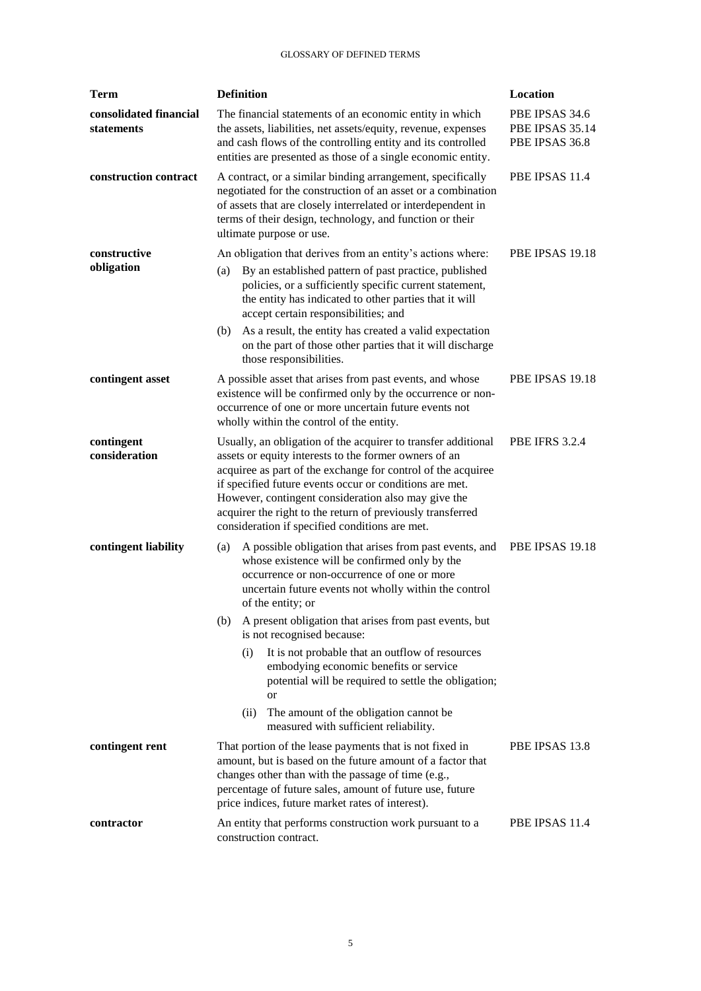| <b>Term</b>                          | <b>Definition</b>                                                                                                                                                                                                                                                                                                                                                                                                                                                                                                                                                                                                   | Location                                            |  |
|--------------------------------------|---------------------------------------------------------------------------------------------------------------------------------------------------------------------------------------------------------------------------------------------------------------------------------------------------------------------------------------------------------------------------------------------------------------------------------------------------------------------------------------------------------------------------------------------------------------------------------------------------------------------|-----------------------------------------------------|--|
| consolidated financial<br>statements | The financial statements of an economic entity in which<br>the assets, liabilities, net assets/equity, revenue, expenses<br>and cash flows of the controlling entity and its controlled<br>entities are presented as those of a single economic entity.                                                                                                                                                                                                                                                                                                                                                             | PBE IPSAS 34.6<br>PBE IPSAS 35.14<br>PBE IPSAS 36.8 |  |
| construction contract                | A contract, or a similar binding arrangement, specifically<br>negotiated for the construction of an asset or a combination<br>of assets that are closely interrelated or interdependent in<br>terms of their design, technology, and function or their<br>ultimate purpose or use.                                                                                                                                                                                                                                                                                                                                  | PBE IPSAS 11.4                                      |  |
| constructive<br>obligation           | An obligation that derives from an entity's actions where:<br>By an established pattern of past practice, published<br>(a)<br>policies, or a sufficiently specific current statement,<br>the entity has indicated to other parties that it will<br>accept certain responsibilities; and<br>As a result, the entity has created a valid expectation<br>(b)<br>on the part of those other parties that it will discharge<br>those responsibilities.                                                                                                                                                                   | PBE IPSAS 19.18                                     |  |
| contingent asset                     | A possible asset that arises from past events, and whose<br>existence will be confirmed only by the occurrence or non-<br>occurrence of one or more uncertain future events not<br>wholly within the control of the entity.                                                                                                                                                                                                                                                                                                                                                                                         | PBE IPSAS 19.18                                     |  |
| contingent<br>consideration          | Usually, an obligation of the acquirer to transfer additional<br>assets or equity interests to the former owners of an<br>acquiree as part of the exchange for control of the acquiree<br>if specified future events occur or conditions are met.<br>However, contingent consideration also may give the<br>acquirer the right to the return of previously transferred<br>consideration if specified conditions are met.                                                                                                                                                                                            | <b>PBE IFRS 3.2.4</b>                               |  |
| contingent liability                 | A possible obligation that arises from past events, and<br>(a)<br>whose existence will be confirmed only by the<br>occurrence or non-occurrence of one or more<br>uncertain future events not wholly within the control<br>of the entity; or<br>A present obligation that arises from past events, but<br>(b)<br>is not recognised because:<br>It is not probable that an outflow of resources<br>(i)<br>embodying economic benefits or service<br>potential will be required to settle the obligation;<br><sub>or</sub><br>The amount of the obligation cannot be<br>(ii)<br>measured with sufficient reliability. | PBE IPSAS 19.18                                     |  |
| contingent rent                      | PBE IPSAS 13.8<br>That portion of the lease payments that is not fixed in<br>amount, but is based on the future amount of a factor that<br>changes other than with the passage of time (e.g.,<br>percentage of future sales, amount of future use, future<br>price indices, future market rates of interest).                                                                                                                                                                                                                                                                                                       |                                                     |  |
| contractor                           | An entity that performs construction work pursuant to a<br>construction contract.                                                                                                                                                                                                                                                                                                                                                                                                                                                                                                                                   | PBE IPSAS 11.4                                      |  |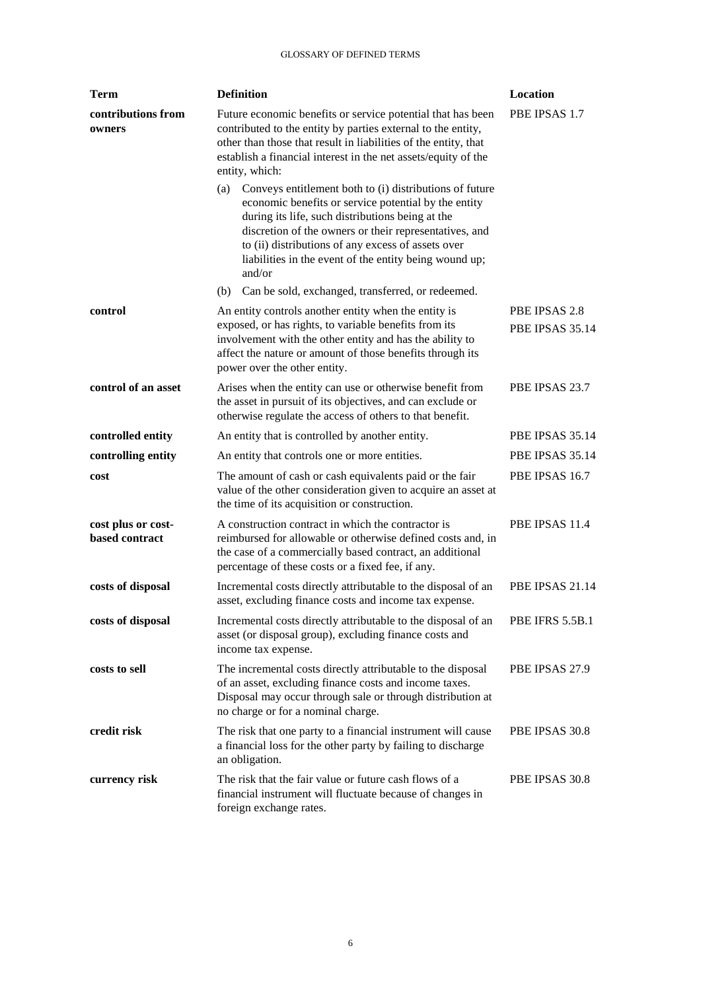| <b>Term</b>                          | <b>Definition</b>                                                                                                                                                                                                                                                                                                                                              | Location                         |  |
|--------------------------------------|----------------------------------------------------------------------------------------------------------------------------------------------------------------------------------------------------------------------------------------------------------------------------------------------------------------------------------------------------------------|----------------------------------|--|
| contributions from<br>owners         | Future economic benefits or service potential that has been<br>contributed to the entity by parties external to the entity,<br>other than those that result in liabilities of the entity, that<br>establish a financial interest in the net assets/equity of the<br>entity, which:                                                                             | PBE IPSAS 1.7                    |  |
|                                      | Conveys entitlement both to (i) distributions of future<br>(a)<br>economic benefits or service potential by the entity<br>during its life, such distributions being at the<br>discretion of the owners or their representatives, and<br>to (ii) distributions of any excess of assets over<br>liabilities in the event of the entity being wound up;<br>and/or |                                  |  |
|                                      | Can be sold, exchanged, transferred, or redeemed.<br>(b)                                                                                                                                                                                                                                                                                                       |                                  |  |
| control                              | An entity controls another entity when the entity is<br>exposed, or has rights, to variable benefits from its<br>involvement with the other entity and has the ability to<br>affect the nature or amount of those benefits through its<br>power over the other entity.                                                                                         | PBE IPSAS 2.8<br>PBE IPSAS 35.14 |  |
| control of an asset                  | Arises when the entity can use or otherwise benefit from<br>the asset in pursuit of its objectives, and can exclude or<br>otherwise regulate the access of others to that benefit.                                                                                                                                                                             | PBE IPSAS 23.7                   |  |
| controlled entity                    | An entity that is controlled by another entity.                                                                                                                                                                                                                                                                                                                | PBE IPSAS 35.14                  |  |
| controlling entity                   | An entity that controls one or more entities.                                                                                                                                                                                                                                                                                                                  | PBE IPSAS 35.14                  |  |
| cost                                 | The amount of cash or cash equivalents paid or the fair<br>value of the other consideration given to acquire an asset at<br>the time of its acquisition or construction.                                                                                                                                                                                       | PBE IPSAS 16.7                   |  |
| cost plus or cost-<br>based contract | A construction contract in which the contractor is<br>reimbursed for allowable or otherwise defined costs and, in<br>the case of a commercially based contract, an additional<br>percentage of these costs or a fixed fee, if any.                                                                                                                             | PBE IPSAS 11.4                   |  |
| costs of disposal                    | Incremental costs directly attributable to the disposal of an<br>asset, excluding finance costs and income tax expense.                                                                                                                                                                                                                                        | PBE IPSAS 21.14                  |  |
| costs of disposal                    | Incremental costs directly attributable to the disposal of an<br>asset (or disposal group), excluding finance costs and<br>income tax expense.                                                                                                                                                                                                                 | <b>PBE IFRS 5.5B.1</b>           |  |
| costs to sell                        | The incremental costs directly attributable to the disposal<br>of an asset, excluding finance costs and income taxes.<br>Disposal may occur through sale or through distribution at<br>no charge or for a nominal charge.                                                                                                                                      | PBE IPSAS 27.9                   |  |
| credit risk                          | The risk that one party to a financial instrument will cause<br>a financial loss for the other party by failing to discharge<br>an obligation.                                                                                                                                                                                                                 | PBE IPSAS 30.8                   |  |
| currency risk                        | The risk that the fair value or future cash flows of a<br>financial instrument will fluctuate because of changes in<br>foreign exchange rates.                                                                                                                                                                                                                 | PBE IPSAS 30.8                   |  |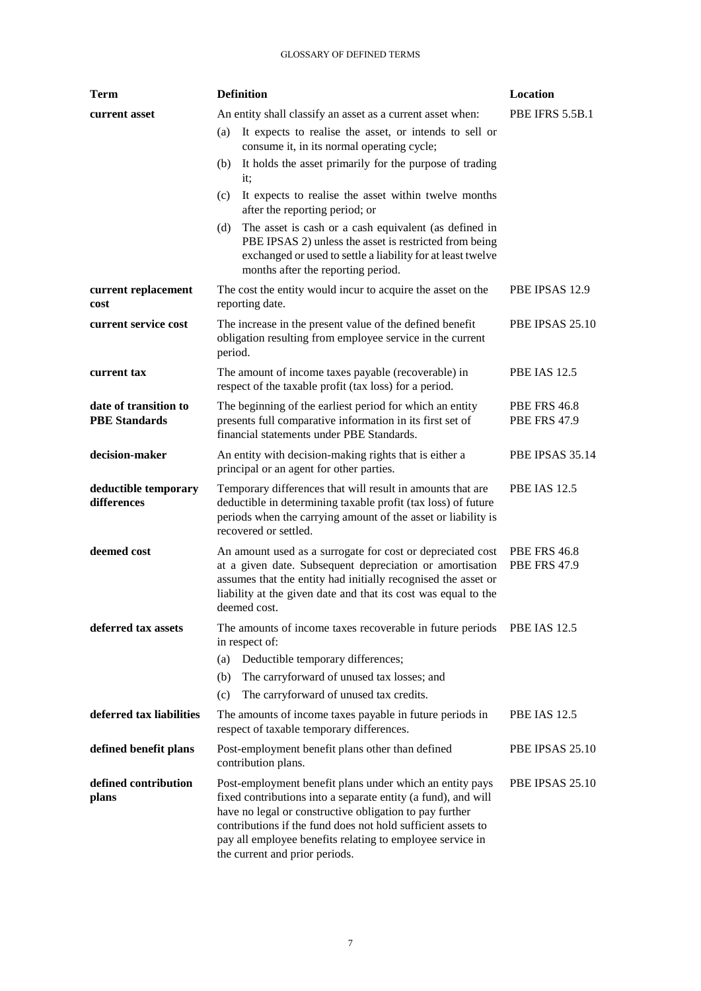| <b>Term</b>                                   | <b>Definition</b>                                                                                                                                                                                                                                                                                                                                   | Location                                   |  |
|-----------------------------------------------|-----------------------------------------------------------------------------------------------------------------------------------------------------------------------------------------------------------------------------------------------------------------------------------------------------------------------------------------------------|--------------------------------------------|--|
| current asset                                 | <b>PBE IFRS 5.5B.1</b><br>An entity shall classify an asset as a current asset when:                                                                                                                                                                                                                                                                |                                            |  |
|                                               | It expects to realise the asset, or intends to sell or<br>(a)<br>consume it, in its normal operating cycle;                                                                                                                                                                                                                                         |                                            |  |
|                                               | It holds the asset primarily for the purpose of trading<br>(b)<br>it;                                                                                                                                                                                                                                                                               |                                            |  |
|                                               | It expects to realise the asset within twelve months<br>(c)<br>after the reporting period; or                                                                                                                                                                                                                                                       |                                            |  |
|                                               | The asset is cash or a cash equivalent (as defined in<br>(d)<br>PBE IPSAS 2) unless the asset is restricted from being<br>exchanged or used to settle a liability for at least twelve<br>months after the reporting period.                                                                                                                         |                                            |  |
| current replacement<br>cost                   | The cost the entity would incur to acquire the asset on the<br>reporting date.                                                                                                                                                                                                                                                                      | PBE IPSAS 12.9                             |  |
| current service cost                          | The increase in the present value of the defined benefit<br>obligation resulting from employee service in the current<br>period.                                                                                                                                                                                                                    | PBE IPSAS 25.10                            |  |
| current tax                                   | The amount of income taxes payable (recoverable) in<br>respect of the taxable profit (tax loss) for a period.                                                                                                                                                                                                                                       | <b>PBE IAS 12.5</b>                        |  |
| date of transition to<br><b>PBE</b> Standards | The beginning of the earliest period for which an entity<br>presents full comparative information in its first set of<br>financial statements under PBE Standards.                                                                                                                                                                                  | <b>PBE FRS 46.8</b><br><b>PBE FRS 47.9</b> |  |
| decision-maker                                | An entity with decision-making rights that is either a<br>principal or an agent for other parties.                                                                                                                                                                                                                                                  | PBE IPSAS 35.14                            |  |
| deductible temporary<br>differences           | Temporary differences that will result in amounts that are<br>deductible in determining taxable profit (tax loss) of future<br>periods when the carrying amount of the asset or liability is<br>recovered or settled.                                                                                                                               | <b>PBE IAS 12.5</b>                        |  |
| deemed cost                                   | An amount used as a surrogate for cost or depreciated cost<br>at a given date. Subsequent depreciation or amortisation<br>assumes that the entity had initially recognised the asset or<br>liability at the given date and that its cost was equal to the<br>deemed cost.                                                                           | <b>PBE FRS 46.8</b><br><b>PBE FRS 47.9</b> |  |
| deferred tax assets                           | The amounts of income taxes recoverable in future periods PBE IAS 12.5<br>in respect of:<br>Deductible temporary differences;<br>(a)<br>The carryforward of unused tax losses; and<br>(b)<br>The carryforward of unused tax credits.<br>(c)                                                                                                         |                                            |  |
| deferred tax liabilities                      | The amounts of income taxes payable in future periods in<br>respect of taxable temporary differences.                                                                                                                                                                                                                                               | <b>PBE IAS 12.5</b>                        |  |
| defined benefit plans                         | Post-employment benefit plans other than defined<br>contribution plans.                                                                                                                                                                                                                                                                             | PBE IPSAS 25.10                            |  |
| defined contribution<br>plans                 | Post-employment benefit plans under which an entity pays<br>fixed contributions into a separate entity (a fund), and will<br>have no legal or constructive obligation to pay further<br>contributions if the fund does not hold sufficient assets to<br>pay all employee benefits relating to employee service in<br>the current and prior periods. | PBE IPSAS 25.10                            |  |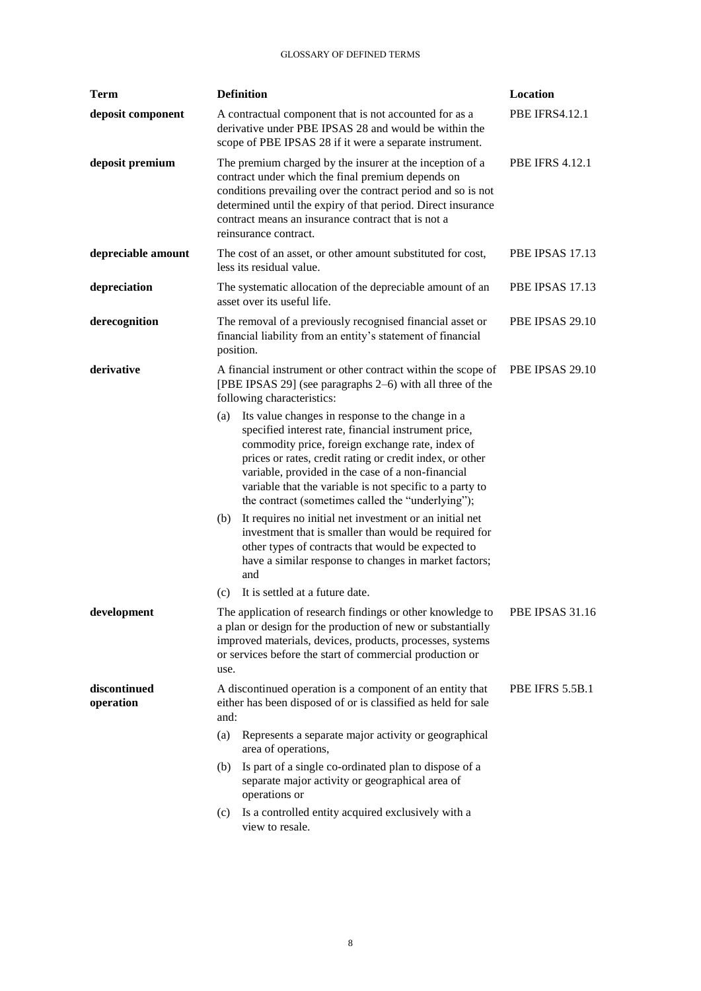| <b>Term</b>               | <b>Definition</b> |                                                                                                                                                                                                                                                                                                                                                                                                | Location               |
|---------------------------|-------------------|------------------------------------------------------------------------------------------------------------------------------------------------------------------------------------------------------------------------------------------------------------------------------------------------------------------------------------------------------------------------------------------------|------------------------|
| deposit component         |                   | A contractual component that is not accounted for as a<br>derivative under PBE IPSAS 28 and would be within the<br>scope of PBE IPSAS 28 if it were a separate instrument.                                                                                                                                                                                                                     | <b>PBE IFRS4.12.1</b>  |
| deposit premium           |                   | The premium charged by the insurer at the inception of a<br>contract under which the final premium depends on<br>conditions prevailing over the contract period and so is not<br>determined until the expiry of that period. Direct insurance<br>contract means an insurance contract that is not a<br>reinsurance contract.                                                                   | <b>PBE IFRS 4.12.1</b> |
| depreciable amount        |                   | The cost of an asset, or other amount substituted for cost,<br>less its residual value.                                                                                                                                                                                                                                                                                                        | PBE IPSAS 17.13        |
| depreciation              |                   | The systematic allocation of the depreciable amount of an<br>asset over its useful life.                                                                                                                                                                                                                                                                                                       | PBE IPSAS 17.13        |
| derecognition             | position.         | The removal of a previously recognised financial asset or<br>financial liability from an entity's statement of financial                                                                                                                                                                                                                                                                       | PBE IPSAS 29.10        |
| derivative                |                   | A financial instrument or other contract within the scope of<br>[PBE IPSAS 29] (see paragraphs 2–6) with all three of the<br>following characteristics:                                                                                                                                                                                                                                        | PBE IPSAS 29.10        |
|                           | (a)               | Its value changes in response to the change in a<br>specified interest rate, financial instrument price,<br>commodity price, foreign exchange rate, index of<br>prices or rates, credit rating or credit index, or other<br>variable, provided in the case of a non-financial<br>variable that the variable is not specific to a party to<br>the contract (sometimes called the "underlying"); |                        |
|                           | (b)               | It requires no initial net investment or an initial net<br>investment that is smaller than would be required for<br>other types of contracts that would be expected to<br>have a similar response to changes in market factors;<br>and                                                                                                                                                         |                        |
|                           | (c)               | It is settled at a future date.                                                                                                                                                                                                                                                                                                                                                                |                        |
| development               | use.              | The application of research findings or other knowledge to<br>a plan or design for the production of new or substantially<br>improved materials, devices, products, processes, systems<br>or services before the start of commercial production or                                                                                                                                             | PBE IPSAS 31.16        |
| discontinued<br>operation | and:              | A discontinued operation is a component of an entity that<br>either has been disposed of or is classified as held for sale                                                                                                                                                                                                                                                                     | PBE IFRS 5.5B.1        |
|                           | (a)               | Represents a separate major activity or geographical<br>area of operations,                                                                                                                                                                                                                                                                                                                    |                        |
|                           | (b)               | Is part of a single co-ordinated plan to dispose of a<br>separate major activity or geographical area of<br>operations or                                                                                                                                                                                                                                                                      |                        |
|                           | (c)               | Is a controlled entity acquired exclusively with a<br>view to resale.                                                                                                                                                                                                                                                                                                                          |                        |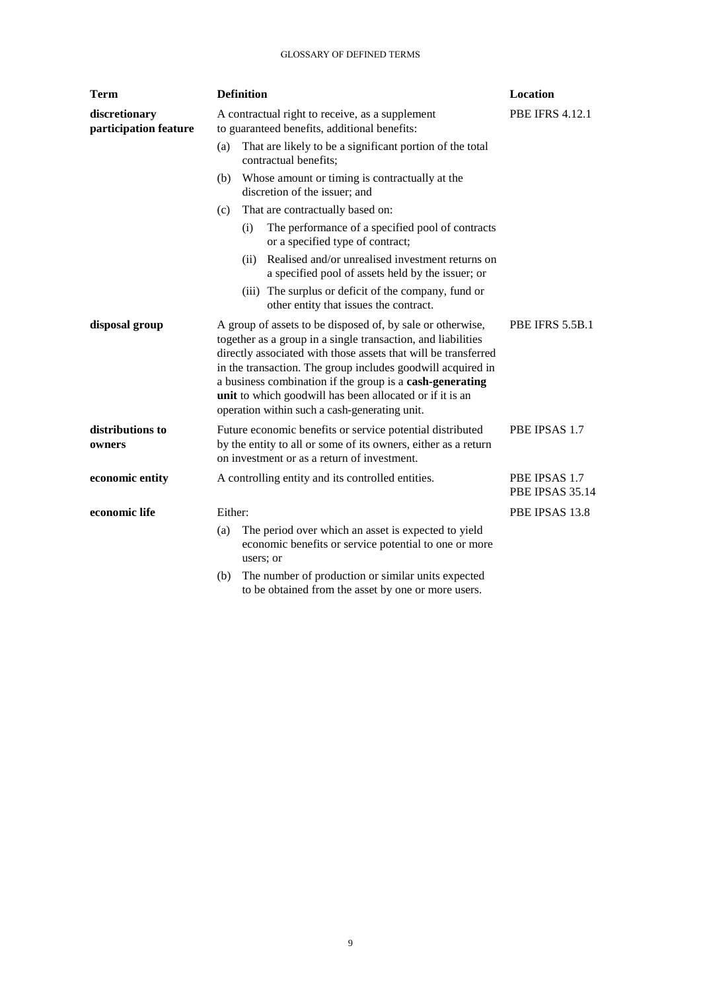| <b>Term</b>                            | <b>Definition</b> |                                                                                                                                                                                                                                                                                                                                                                                                                                      | Location                         |
|----------------------------------------|-------------------|--------------------------------------------------------------------------------------------------------------------------------------------------------------------------------------------------------------------------------------------------------------------------------------------------------------------------------------------------------------------------------------------------------------------------------------|----------------------------------|
| discretionary<br>participation feature |                   | A contractual right to receive, as a supplement<br>to guaranteed benefits, additional benefits:                                                                                                                                                                                                                                                                                                                                      | <b>PBE IFRS 4.12.1</b>           |
|                                        | (a)               | That are likely to be a significant portion of the total<br>contractual benefits;                                                                                                                                                                                                                                                                                                                                                    |                                  |
|                                        | (b)               | Whose amount or timing is contractually at the<br>discretion of the issuer; and                                                                                                                                                                                                                                                                                                                                                      |                                  |
|                                        | (c)               | That are contractually based on:                                                                                                                                                                                                                                                                                                                                                                                                     |                                  |
|                                        |                   | The performance of a specified pool of contracts<br>(i)<br>or a specified type of contract;                                                                                                                                                                                                                                                                                                                                          |                                  |
|                                        |                   | Realised and/or unrealised investment returns on<br>(ii)<br>a specified pool of assets held by the issuer; or                                                                                                                                                                                                                                                                                                                        |                                  |
|                                        |                   | (iii) The surplus or deficit of the company, fund or<br>other entity that issues the contract.                                                                                                                                                                                                                                                                                                                                       |                                  |
| disposal group                         |                   | A group of assets to be disposed of, by sale or otherwise,<br>together as a group in a single transaction, and liabilities<br>directly associated with those assets that will be transferred<br>in the transaction. The group includes goodwill acquired in<br>a business combination if the group is a cash-generating<br>unit to which goodwill has been allocated or if it is an<br>operation within such a cash-generating unit. | PBE IFRS 5.5B.1                  |
| distributions to<br>owners             |                   | Future economic benefits or service potential distributed<br>by the entity to all or some of its owners, either as a return<br>on investment or as a return of investment.                                                                                                                                                                                                                                                           | PBE IPSAS 1.7                    |
| economic entity                        |                   | A controlling entity and its controlled entities.                                                                                                                                                                                                                                                                                                                                                                                    | PBE IPSAS 1.7<br>PBE IPSAS 35.14 |
| economic life                          | Either:           |                                                                                                                                                                                                                                                                                                                                                                                                                                      | PBE IPSAS 13.8                   |
|                                        | (a)               | The period over which an asset is expected to yield<br>economic benefits or service potential to one or more<br>users; or                                                                                                                                                                                                                                                                                                            |                                  |
|                                        | (h)               | The number of production or similar units expected                                                                                                                                                                                                                                                                                                                                                                                   |                                  |

(b) The number of production or similar units expected to be obtained from the asset by one or more users.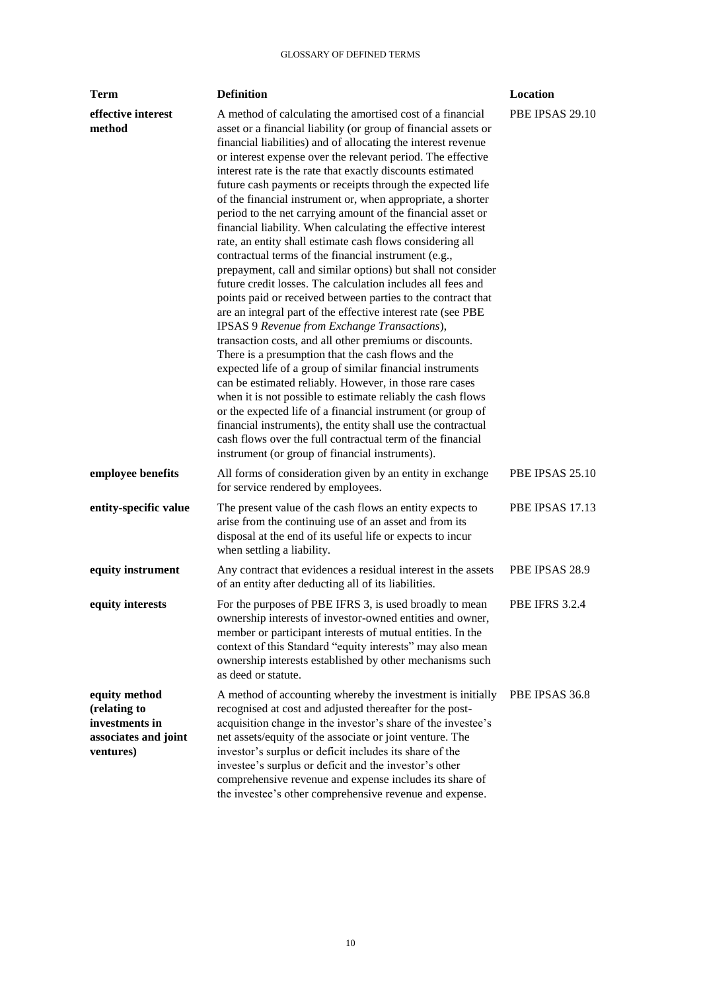| <b>Term</b>                                                                          | <b>Definition</b>                                                                                                                                                                                                                                                                                                                                                                                                                                                                                                                                                                                                                                                                                                                                                                                                                                                                                                                                                                                                                                                                                                                                                                                                                                                                                                                                                                                                                                                                                                                                                                  | Location              |
|--------------------------------------------------------------------------------------|------------------------------------------------------------------------------------------------------------------------------------------------------------------------------------------------------------------------------------------------------------------------------------------------------------------------------------------------------------------------------------------------------------------------------------------------------------------------------------------------------------------------------------------------------------------------------------------------------------------------------------------------------------------------------------------------------------------------------------------------------------------------------------------------------------------------------------------------------------------------------------------------------------------------------------------------------------------------------------------------------------------------------------------------------------------------------------------------------------------------------------------------------------------------------------------------------------------------------------------------------------------------------------------------------------------------------------------------------------------------------------------------------------------------------------------------------------------------------------------------------------------------------------------------------------------------------------|-----------------------|
| effective interest<br>method                                                         | A method of calculating the amortised cost of a financial<br>asset or a financial liability (or group of financial assets or<br>financial liabilities) and of allocating the interest revenue<br>or interest expense over the relevant period. The effective<br>interest rate is the rate that exactly discounts estimated<br>future cash payments or receipts through the expected life<br>of the financial instrument or, when appropriate, a shorter<br>period to the net carrying amount of the financial asset or<br>financial liability. When calculating the effective interest<br>rate, an entity shall estimate cash flows considering all<br>contractual terms of the financial instrument (e.g.,<br>prepayment, call and similar options) but shall not consider<br>future credit losses. The calculation includes all fees and<br>points paid or received between parties to the contract that<br>are an integral part of the effective interest rate (see PBE<br>IPSAS 9 Revenue from Exchange Transactions),<br>transaction costs, and all other premiums or discounts.<br>There is a presumption that the cash flows and the<br>expected life of a group of similar financial instruments<br>can be estimated reliably. However, in those rare cases<br>when it is not possible to estimate reliably the cash flows<br>or the expected life of a financial instrument (or group of<br>financial instruments), the entity shall use the contractual<br>cash flows over the full contractual term of the financial<br>instrument (or group of financial instruments). | PBE IPSAS 29.10       |
| employee benefits                                                                    | All forms of consideration given by an entity in exchange<br>for service rendered by employees.                                                                                                                                                                                                                                                                                                                                                                                                                                                                                                                                                                                                                                                                                                                                                                                                                                                                                                                                                                                                                                                                                                                                                                                                                                                                                                                                                                                                                                                                                    | PBE IPSAS 25.10       |
| entity-specific value                                                                | The present value of the cash flows an entity expects to<br>arise from the continuing use of an asset and from its<br>disposal at the end of its useful life or expects to incur<br>when settling a liability.                                                                                                                                                                                                                                                                                                                                                                                                                                                                                                                                                                                                                                                                                                                                                                                                                                                                                                                                                                                                                                                                                                                                                                                                                                                                                                                                                                     | PBE IPSAS 17.13       |
| equity instrument                                                                    | Any contract that evidences a residual interest in the assets<br>of an entity after deducting all of its liabilities.                                                                                                                                                                                                                                                                                                                                                                                                                                                                                                                                                                                                                                                                                                                                                                                                                                                                                                                                                                                                                                                                                                                                                                                                                                                                                                                                                                                                                                                              | PBE IPSAS 28.9        |
| equity interests                                                                     | For the purposes of PBE IFRS 3, is used broadly to mean<br>ownership interests of investor-owned entities and owner,<br>member or participant interests of mutual entities. In the<br>context of this Standard "equity interests" may also mean<br>ownership interests established by other mechanisms such<br>as deed or statute.                                                                                                                                                                                                                                                                                                                                                                                                                                                                                                                                                                                                                                                                                                                                                                                                                                                                                                                                                                                                                                                                                                                                                                                                                                                 | <b>PBE IFRS 3.2.4</b> |
| equity method<br>(relating to<br>investments in<br>associates and joint<br>ventures) | A method of accounting whereby the investment is initially<br>recognised at cost and adjusted thereafter for the post-<br>acquisition change in the investor's share of the investee's<br>net assets/equity of the associate or joint venture. The<br>investor's surplus or deficit includes its share of the<br>investee's surplus or deficit and the investor's other<br>comprehensive revenue and expense includes its share of<br>the investee's other comprehensive revenue and expense.                                                                                                                                                                                                                                                                                                                                                                                                                                                                                                                                                                                                                                                                                                                                                                                                                                                                                                                                                                                                                                                                                      | PBE IPSAS 36.8        |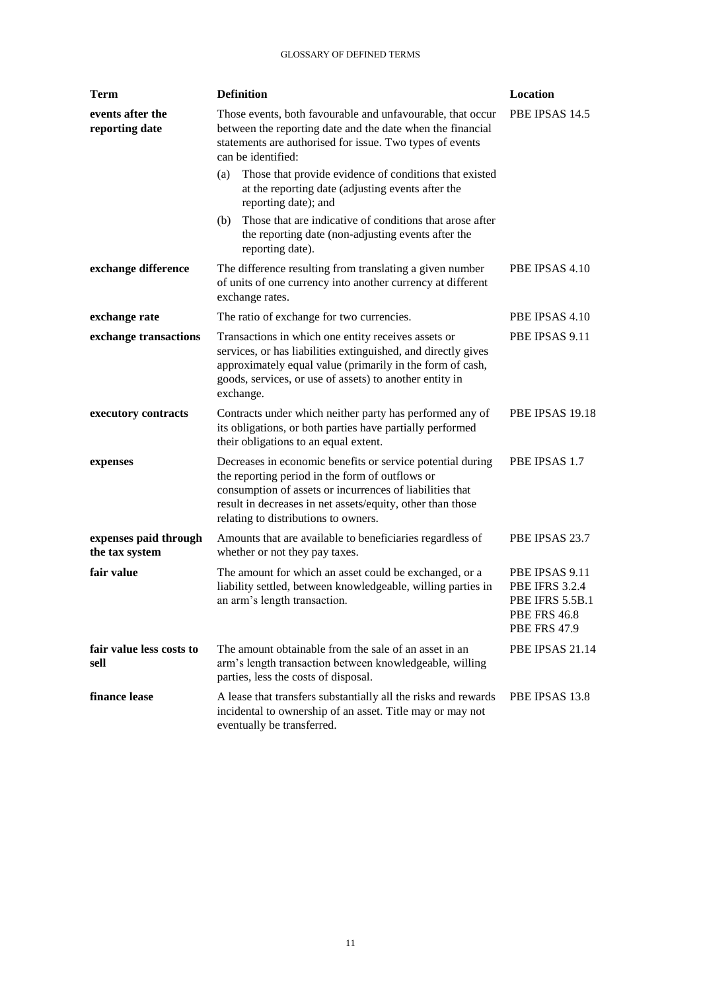| Term                                    | <b>Definition</b>                                                                                                                                                                                                                                                               | Location                                                                                                 |
|-----------------------------------------|---------------------------------------------------------------------------------------------------------------------------------------------------------------------------------------------------------------------------------------------------------------------------------|----------------------------------------------------------------------------------------------------------|
| events after the<br>reporting date      | Those events, both favourable and unfavourable, that occur<br>between the reporting date and the date when the financial<br>statements are authorised for issue. Two types of events<br>can be identified:                                                                      | PBE IPSAS 14.5                                                                                           |
|                                         | Those that provide evidence of conditions that existed<br>(a)<br>at the reporting date (adjusting events after the<br>reporting date); and                                                                                                                                      |                                                                                                          |
|                                         | Those that are indicative of conditions that arose after<br>(b)<br>the reporting date (non-adjusting events after the<br>reporting date).                                                                                                                                       |                                                                                                          |
| exchange difference                     | The difference resulting from translating a given number<br>of units of one currency into another currency at different<br>exchange rates.                                                                                                                                      | PBE IPSAS 4.10                                                                                           |
| exchange rate                           | The ratio of exchange for two currencies.                                                                                                                                                                                                                                       | PBE IPSAS 4.10                                                                                           |
| exchange transactions                   | Transactions in which one entity receives assets or<br>services, or has liabilities extinguished, and directly gives<br>approximately equal value (primarily in the form of cash,<br>goods, services, or use of assets) to another entity in<br>exchange.                       | PBE IPSAS 9.11                                                                                           |
| executory contracts                     | Contracts under which neither party has performed any of<br>its obligations, or both parties have partially performed<br>their obligations to an equal extent.                                                                                                                  | PBE IPSAS 19.18                                                                                          |
| expenses                                | Decreases in economic benefits or service potential during<br>the reporting period in the form of outflows or<br>consumption of assets or incurrences of liabilities that<br>result in decreases in net assets/equity, other than those<br>relating to distributions to owners. | PBE IPSAS 1.7                                                                                            |
| expenses paid through<br>the tax system | Amounts that are available to beneficiaries regardless of<br>whether or not they pay taxes.                                                                                                                                                                                     | PBE IPSAS 23.7                                                                                           |
| fair value                              | The amount for which an asset could be exchanged, or a<br>liability settled, between knowledgeable, willing parties in<br>an arm's length transaction.                                                                                                                          | PBE IPSAS 9.11<br><b>PBE IFRS 3.2.4</b><br>PBE IFRS 5.5B.1<br><b>PBE FRS 46.8</b><br><b>PBE FRS 47.9</b> |
| fair value less costs to<br>sell        | The amount obtainable from the sale of an asset in an<br>arm's length transaction between knowledgeable, willing<br>parties, less the costs of disposal.                                                                                                                        | PBE IPSAS 21.14                                                                                          |
| finance lease                           | A lease that transfers substantially all the risks and rewards<br>incidental to ownership of an asset. Title may or may not<br>eventually be transferred.                                                                                                                       | PBE IPSAS 13.8                                                                                           |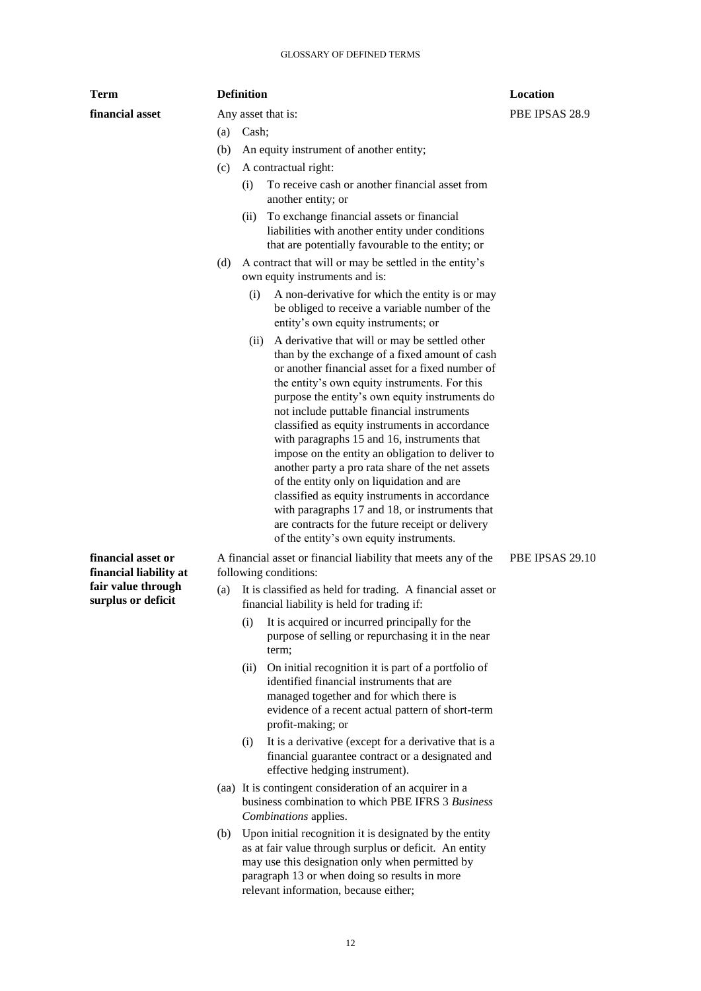| Term                                                                                     |     | <b>Definition</b>                                                                                                                                                                                                                                                                                                                                                                                                                                                                                                                                                                                                                                                                                                                                                      | Location        |
|------------------------------------------------------------------------------------------|-----|------------------------------------------------------------------------------------------------------------------------------------------------------------------------------------------------------------------------------------------------------------------------------------------------------------------------------------------------------------------------------------------------------------------------------------------------------------------------------------------------------------------------------------------------------------------------------------------------------------------------------------------------------------------------------------------------------------------------------------------------------------------------|-----------------|
| financial asset                                                                          |     | Any asset that is:                                                                                                                                                                                                                                                                                                                                                                                                                                                                                                                                                                                                                                                                                                                                                     | PBE IPSAS 28.9  |
|                                                                                          | (a) | Cash;                                                                                                                                                                                                                                                                                                                                                                                                                                                                                                                                                                                                                                                                                                                                                                  |                 |
|                                                                                          | (b) | An equity instrument of another entity;                                                                                                                                                                                                                                                                                                                                                                                                                                                                                                                                                                                                                                                                                                                                |                 |
|                                                                                          | (c) | A contractual right:                                                                                                                                                                                                                                                                                                                                                                                                                                                                                                                                                                                                                                                                                                                                                   |                 |
|                                                                                          |     | To receive cash or another financial asset from<br>(i)<br>another entity; or                                                                                                                                                                                                                                                                                                                                                                                                                                                                                                                                                                                                                                                                                           |                 |
|                                                                                          |     | To exchange financial assets or financial<br>(ii)<br>liabilities with another entity under conditions<br>that are potentially favourable to the entity; or                                                                                                                                                                                                                                                                                                                                                                                                                                                                                                                                                                                                             |                 |
|                                                                                          | (d) | A contract that will or may be settled in the entity's<br>own equity instruments and is:                                                                                                                                                                                                                                                                                                                                                                                                                                                                                                                                                                                                                                                                               |                 |
|                                                                                          |     | A non-derivative for which the entity is or may<br>(i)<br>be obliged to receive a variable number of the<br>entity's own equity instruments; or                                                                                                                                                                                                                                                                                                                                                                                                                                                                                                                                                                                                                        |                 |
|                                                                                          |     | A derivative that will or may be settled other<br>(ii)<br>than by the exchange of a fixed amount of cash<br>or another financial asset for a fixed number of<br>the entity's own equity instruments. For this<br>purpose the entity's own equity instruments do<br>not include puttable financial instruments<br>classified as equity instruments in accordance<br>with paragraphs 15 and 16, instruments that<br>impose on the entity an obligation to deliver to<br>another party a pro rata share of the net assets<br>of the entity only on liquidation and are<br>classified as equity instruments in accordance<br>with paragraphs 17 and 18, or instruments that<br>are contracts for the future receipt or delivery<br>of the entity's own equity instruments. |                 |
| financial asset or<br>financial liability at<br>fair value through<br>surplus or deficit |     | A financial asset or financial liability that meets any of the<br>following conditions:                                                                                                                                                                                                                                                                                                                                                                                                                                                                                                                                                                                                                                                                                | PBE IPSAS 29.10 |
|                                                                                          | (a) | It is classified as held for trading. A financial asset or<br>financial liability is held for trading if:                                                                                                                                                                                                                                                                                                                                                                                                                                                                                                                                                                                                                                                              |                 |
|                                                                                          |     | (i)<br>It is acquired or incurred principally for the<br>purpose of selling or repurchasing it in the near<br>term;                                                                                                                                                                                                                                                                                                                                                                                                                                                                                                                                                                                                                                                    |                 |
|                                                                                          |     | On initial recognition it is part of a portfolio of<br>(ii)<br>identified financial instruments that are                                                                                                                                                                                                                                                                                                                                                                                                                                                                                                                                                                                                                                                               |                 |

- managed together and for which there is evidence of a recent actual pattern of short-term profit-making; or (i) It is a derivative (except for a derivative that is a
- financial guarantee contract or a designated and effective hedging instrument).
- (aa) It is contingent consideration of an acquirer in a business combination to which PBE IFRS 3 *Business Combinations* applies.
- (b) Upon initial recognition it is designated by the entity as at fair value through surplus or deficit. An entity may use this designation only when permitted by paragraph 13 or when doing so results in more relevant information, because either;

12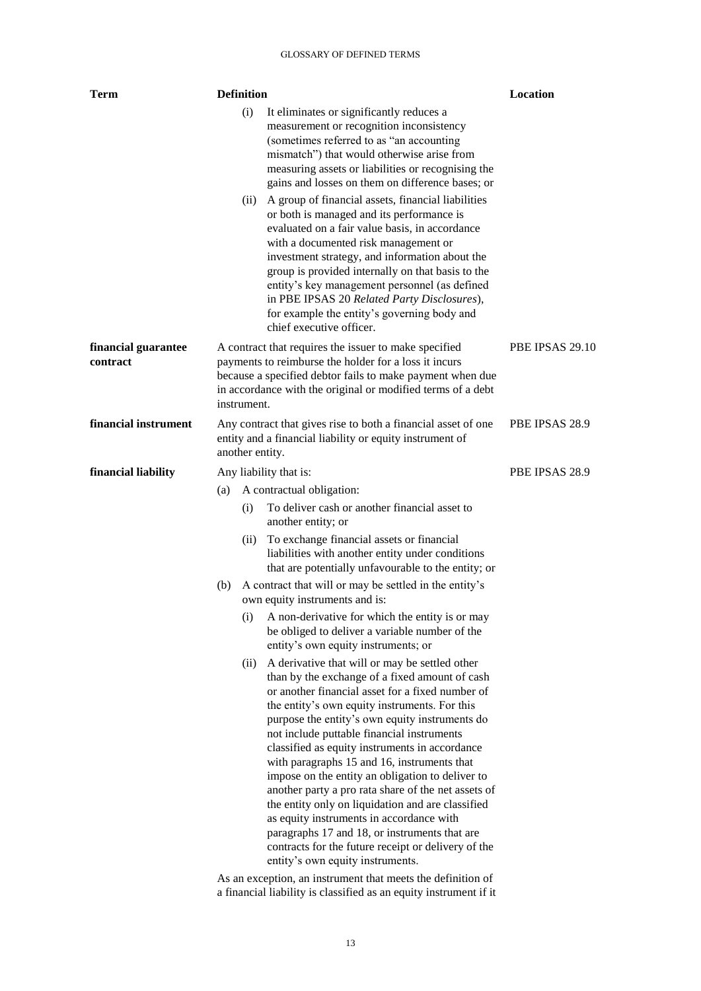| <b>Term</b>                     |     | <b>Definition</b> |                                                                                                                                                                                                                                                                                                                                                                                                                                                                                                                                                                                                                                                                                                                            | Location        |
|---------------------------------|-----|-------------------|----------------------------------------------------------------------------------------------------------------------------------------------------------------------------------------------------------------------------------------------------------------------------------------------------------------------------------------------------------------------------------------------------------------------------------------------------------------------------------------------------------------------------------------------------------------------------------------------------------------------------------------------------------------------------------------------------------------------------|-----------------|
|                                 |     | (i)               | It eliminates or significantly reduces a<br>measurement or recognition inconsistency<br>(sometimes referred to as "an accounting<br>mismatch") that would otherwise arise from<br>measuring assets or liabilities or recognising the<br>gains and losses on them on difference bases; or                                                                                                                                                                                                                                                                                                                                                                                                                                   |                 |
|                                 |     | (ii)              | A group of financial assets, financial liabilities<br>or both is managed and its performance is<br>evaluated on a fair value basis, in accordance<br>with a documented risk management or<br>investment strategy, and information about the<br>group is provided internally on that basis to the<br>entity's key management personnel (as defined<br>in PBE IPSAS 20 Related Party Disclosures),<br>for example the entity's governing body and<br>chief executive officer.                                                                                                                                                                                                                                                |                 |
| financial guarantee<br>contract |     | instrument.       | A contract that requires the issuer to make specified<br>payments to reimburse the holder for a loss it incurs<br>because a specified debtor fails to make payment when due<br>in accordance with the original or modified terms of a debt                                                                                                                                                                                                                                                                                                                                                                                                                                                                                 | PBE IPSAS 29.10 |
| financial instrument            |     | another entity.   | Any contract that gives rise to both a financial asset of one<br>entity and a financial liability or equity instrument of                                                                                                                                                                                                                                                                                                                                                                                                                                                                                                                                                                                                  | PBE IPSAS 28.9  |
| financial liability             |     |                   | Any liability that is:                                                                                                                                                                                                                                                                                                                                                                                                                                                                                                                                                                                                                                                                                                     | PBE IPSAS 28.9  |
|                                 | (a) |                   | A contractual obligation:                                                                                                                                                                                                                                                                                                                                                                                                                                                                                                                                                                                                                                                                                                  |                 |
|                                 |     | (i)               | To deliver cash or another financial asset to<br>another entity; or                                                                                                                                                                                                                                                                                                                                                                                                                                                                                                                                                                                                                                                        |                 |
|                                 |     | (ii)              | To exchange financial assets or financial<br>liabilities with another entity under conditions<br>that are potentially unfavourable to the entity; or                                                                                                                                                                                                                                                                                                                                                                                                                                                                                                                                                                       |                 |
|                                 | (b) |                   | A contract that will or may be settled in the entity's<br>own equity instruments and is:                                                                                                                                                                                                                                                                                                                                                                                                                                                                                                                                                                                                                                   |                 |
|                                 |     | (i)               | A non-derivative for which the entity is or may<br>be obliged to deliver a variable number of the<br>entity's own equity instruments; or                                                                                                                                                                                                                                                                                                                                                                                                                                                                                                                                                                                   |                 |
|                                 |     | (ii)              | A derivative that will or may be settled other<br>than by the exchange of a fixed amount of cash<br>or another financial asset for a fixed number of<br>the entity's own equity instruments. For this<br>purpose the entity's own equity instruments do<br>not include puttable financial instruments<br>classified as equity instruments in accordance<br>with paragraphs 15 and 16, instruments that<br>impose on the entity an obligation to deliver to<br>another party a pro rata share of the net assets of<br>the entity only on liquidation and are classified<br>as equity instruments in accordance with<br>paragraphs 17 and 18, or instruments that are<br>contracts for the future receipt or delivery of the |                 |
|                                 |     |                   | entity's own equity instruments.                                                                                                                                                                                                                                                                                                                                                                                                                                                                                                                                                                                                                                                                                           |                 |
|                                 |     |                   | As an exception, an instrument that meets the definition of                                                                                                                                                                                                                                                                                                                                                                                                                                                                                                                                                                                                                                                                |                 |

a financial liability is classified as an equity instrument if it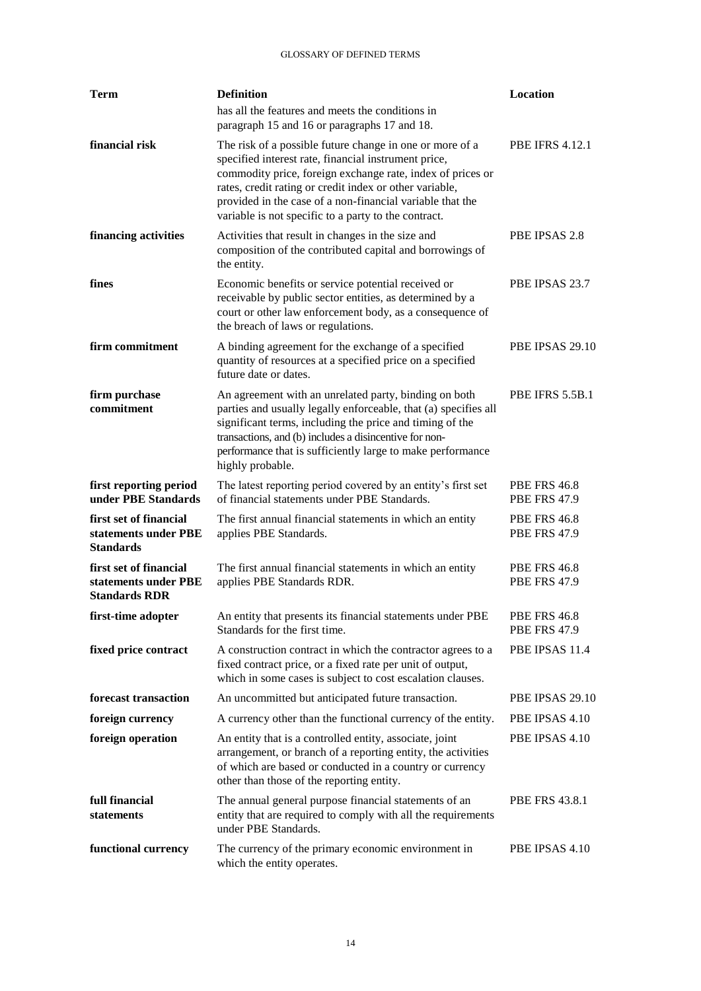| Term                                                                   | <b>Definition</b>                                                                                                                                                                                                                                                                                                                                              | Location                                   |
|------------------------------------------------------------------------|----------------------------------------------------------------------------------------------------------------------------------------------------------------------------------------------------------------------------------------------------------------------------------------------------------------------------------------------------------------|--------------------------------------------|
|                                                                        | has all the features and meets the conditions in<br>paragraph 15 and 16 or paragraphs 17 and 18.                                                                                                                                                                                                                                                               |                                            |
| financial risk                                                         | The risk of a possible future change in one or more of a<br>specified interest rate, financial instrument price,<br>commodity price, foreign exchange rate, index of prices or<br>rates, credit rating or credit index or other variable,<br>provided in the case of a non-financial variable that the<br>variable is not specific to a party to the contract. | <b>PBE IFRS 4.12.1</b>                     |
| financing activities                                                   | Activities that result in changes in the size and<br>composition of the contributed capital and borrowings of<br>the entity.                                                                                                                                                                                                                                   | PBE IPSAS 2.8                              |
| fines                                                                  | Economic benefits or service potential received or<br>receivable by public sector entities, as determined by a<br>court or other law enforcement body, as a consequence of<br>the breach of laws or regulations.                                                                                                                                               | PBE IPSAS 23.7                             |
| firm commitment                                                        | A binding agreement for the exchange of a specified<br>quantity of resources at a specified price on a specified<br>future date or dates.                                                                                                                                                                                                                      | PBE IPSAS 29.10                            |
| firm purchase<br>commitment                                            | An agreement with an unrelated party, binding on both<br>parties and usually legally enforceable, that (a) specifies all<br>significant terms, including the price and timing of the<br>transactions, and (b) includes a disincentive for non-<br>performance that is sufficiently large to make performance<br>highly probable.                               | PBE IFRS 5.5B.1                            |
| first reporting period<br>under PBE Standards                          | The latest reporting period covered by an entity's first set<br>of financial statements under PBE Standards.                                                                                                                                                                                                                                                   | <b>PBE FRS 46.8</b><br><b>PBE FRS 47.9</b> |
| first set of financial<br>statements under PBE<br><b>Standards</b>     | The first annual financial statements in which an entity<br>applies PBE Standards.                                                                                                                                                                                                                                                                             | <b>PBE FRS 46.8</b><br><b>PBE FRS 47.9</b> |
| first set of financial<br>statements under PBE<br><b>Standards RDR</b> | The first annual financial statements in which an entity<br>applies PBE Standards RDR.                                                                                                                                                                                                                                                                         | <b>PBE FRS 46.8</b><br><b>PBE FRS 47.9</b> |
| first-time adopter                                                     | An entity that presents its financial statements under PBE<br>Standards for the first time.                                                                                                                                                                                                                                                                    | <b>PBE FRS 46.8</b><br><b>PBE FRS 47.9</b> |
| fixed price contract                                                   | A construction contract in which the contractor agrees to a<br>fixed contract price, or a fixed rate per unit of output,<br>which in some cases is subject to cost escalation clauses.                                                                                                                                                                         | PBE IPSAS 11.4                             |
| forecast transaction                                                   | An uncommitted but anticipated future transaction.                                                                                                                                                                                                                                                                                                             | PBE IPSAS 29.10                            |
| foreign currency                                                       | A currency other than the functional currency of the entity.                                                                                                                                                                                                                                                                                                   | PBE IPSAS 4.10                             |
| foreign operation                                                      | An entity that is a controlled entity, associate, joint<br>arrangement, or branch of a reporting entity, the activities<br>of which are based or conducted in a country or currency<br>other than those of the reporting entity.                                                                                                                               | PBE IPSAS 4.10                             |
| full financial<br>statements                                           | The annual general purpose financial statements of an<br>entity that are required to comply with all the requirements<br>under PBE Standards.                                                                                                                                                                                                                  | <b>PBE FRS 43.8.1</b>                      |
| functional currency                                                    | The currency of the primary economic environment in<br>which the entity operates.                                                                                                                                                                                                                                                                              | PBE IPSAS 4.10                             |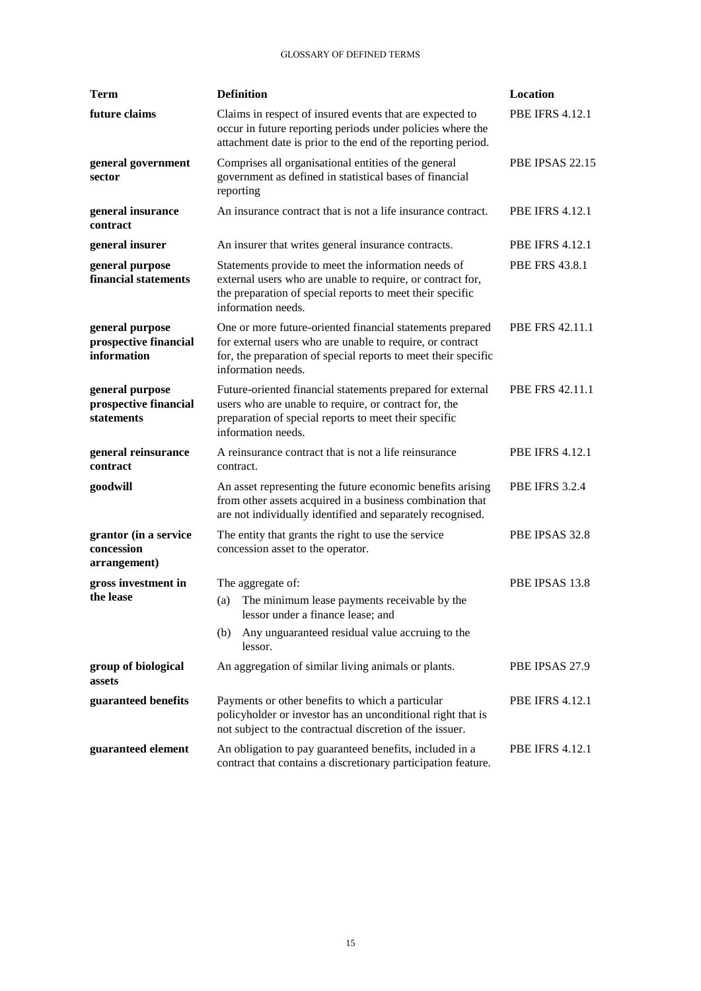| Term                                                    | <b>Definition</b>                                                                                                                                                                                              | Location               |
|---------------------------------------------------------|----------------------------------------------------------------------------------------------------------------------------------------------------------------------------------------------------------------|------------------------|
| future claims                                           | Claims in respect of insured events that are expected to<br>occur in future reporting periods under policies where the<br>attachment date is prior to the end of the reporting period.                         | <b>PBE IFRS 4.12.1</b> |
| general government<br>sector                            | Comprises all organisational entities of the general<br>government as defined in statistical bases of financial<br>reporting                                                                                   | PBE IPSAS 22.15        |
| general insurance<br>contract                           | An insurance contract that is not a life insurance contract.                                                                                                                                                   | <b>PBE IFRS 4.12.1</b> |
| general insurer                                         | An insurer that writes general insurance contracts.                                                                                                                                                            | <b>PBE IFRS 4.12.1</b> |
| general purpose<br>financial statements                 | Statements provide to meet the information needs of<br>external users who are unable to require, or contract for,<br>the preparation of special reports to meet their specific<br>information needs.           | <b>PBE FRS 43.8.1</b>  |
| general purpose<br>prospective financial<br>information | One or more future-oriented financial statements prepared<br>for external users who are unable to require, or contract<br>for, the preparation of special reports to meet their specific<br>information needs. | PBE FRS 42.11.1        |
| general purpose<br>prospective financial<br>statements  | Future-oriented financial statements prepared for external<br>users who are unable to require, or contract for, the<br>preparation of special reports to meet their specific<br>information needs.             | <b>PBE FRS 42.11.1</b> |
| general reinsurance<br>contract                         | A reinsurance contract that is not a life reinsurance<br>contract.                                                                                                                                             | <b>PBE IFRS 4.12.1</b> |
| goodwill                                                | An asset representing the future economic benefits arising<br>from other assets acquired in a business combination that<br>are not individually identified and separately recognised.                          | <b>PBE IFRS 3.2.4</b>  |
| grantor (in a service<br>concession<br>arrangement)     | The entity that grants the right to use the service<br>concession asset to the operator.                                                                                                                       | PBE IPSAS 32.8         |
| gross investment in                                     | The aggregate of:                                                                                                                                                                                              | PBE IPSAS 13.8         |
| the lease                                               | The minimum lease payments receivable by the<br>(a)<br>lessor under a finance lease; and                                                                                                                       |                        |
|                                                         | Any unguaranteed residual value accruing to the<br>(b)<br>lessor.                                                                                                                                              |                        |
| group of biological<br>assets                           | An aggregation of similar living animals or plants.                                                                                                                                                            | PBE IPSAS 27.9         |
| guaranteed benefits                                     | Payments or other benefits to which a particular<br>policyholder or investor has an unconditional right that is<br>not subject to the contractual discretion of the issuer.                                    | <b>PBE IFRS 4.12.1</b> |
| guaranteed element                                      | An obligation to pay guaranteed benefits, included in a<br>contract that contains a discretionary participation feature.                                                                                       | <b>PBE IFRS 4.12.1</b> |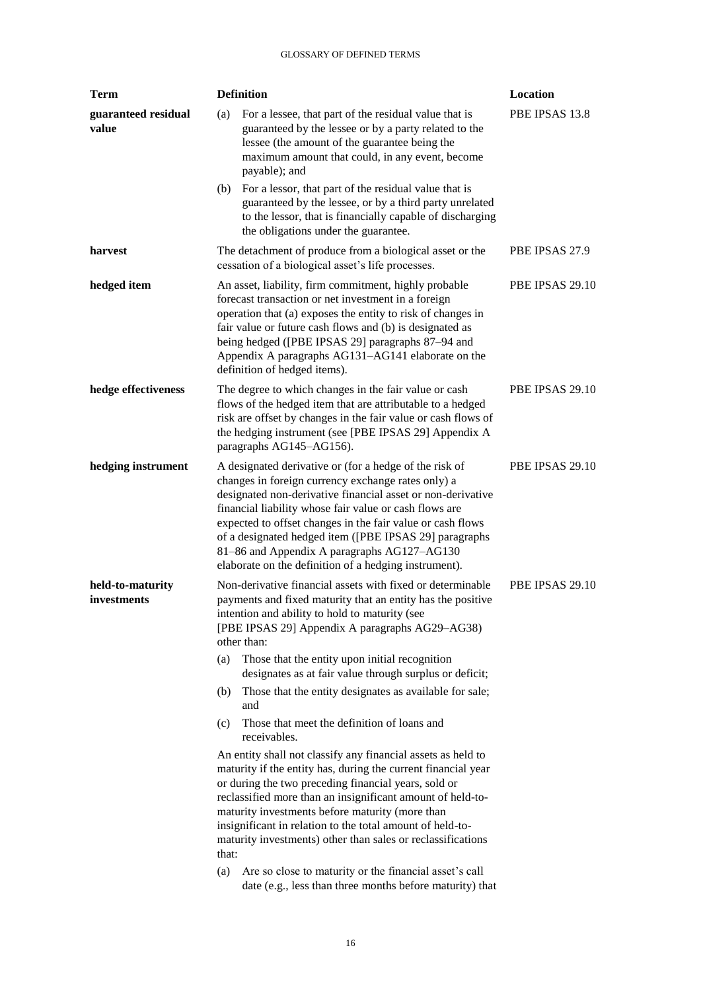| Term                            | <b>Definition</b><br>Location     |                                                                                                                                                                                                                                                                                                                                                                                                                                                                                                                                                                                                                                                                                                                                                                                                                                                                                                                                                                                             |                 |  |
|---------------------------------|-----------------------------------|---------------------------------------------------------------------------------------------------------------------------------------------------------------------------------------------------------------------------------------------------------------------------------------------------------------------------------------------------------------------------------------------------------------------------------------------------------------------------------------------------------------------------------------------------------------------------------------------------------------------------------------------------------------------------------------------------------------------------------------------------------------------------------------------------------------------------------------------------------------------------------------------------------------------------------------------------------------------------------------------|-----------------|--|
| guaranteed residual<br>value    | (a)                               | For a lessee, that part of the residual value that is<br>guaranteed by the lessee or by a party related to the<br>lessee (the amount of the guarantee being the<br>maximum amount that could, in any event, become<br>payable); and                                                                                                                                                                                                                                                                                                                                                                                                                                                                                                                                                                                                                                                                                                                                                         | PBE IPSAS 13.8  |  |
|                                 | (b)                               | For a lessor, that part of the residual value that is<br>guaranteed by the lessee, or by a third party unrelated<br>to the lessor, that is financially capable of discharging<br>the obligations under the guarantee.                                                                                                                                                                                                                                                                                                                                                                                                                                                                                                                                                                                                                                                                                                                                                                       |                 |  |
| harvest                         |                                   | The detachment of produce from a biological asset or the<br>cessation of a biological asset's life processes.                                                                                                                                                                                                                                                                                                                                                                                                                                                                                                                                                                                                                                                                                                                                                                                                                                                                               | PBE IPSAS 27.9  |  |
| hedged item                     |                                   | An asset, liability, firm commitment, highly probable<br>forecast transaction or net investment in a foreign<br>operation that (a) exposes the entity to risk of changes in<br>fair value or future cash flows and (b) is designated as<br>being hedged ([PBE IPSAS 29] paragraphs 87-94 and<br>Appendix A paragraphs AG131-AG141 elaborate on the<br>definition of hedged items).                                                                                                                                                                                                                                                                                                                                                                                                                                                                                                                                                                                                          | PBE IPSAS 29.10 |  |
| hedge effectiveness             |                                   | The degree to which changes in the fair value or cash<br>flows of the hedged item that are attributable to a hedged<br>risk are offset by changes in the fair value or cash flows of<br>the hedging instrument (see [PBE IPSAS 29] Appendix A<br>paragraphs AG145-AG156).                                                                                                                                                                                                                                                                                                                                                                                                                                                                                                                                                                                                                                                                                                                   | PBE IPSAS 29.10 |  |
| hedging instrument              |                                   | A designated derivative or (for a hedge of the risk of<br>changes in foreign currency exchange rates only) a<br>designated non-derivative financial asset or non-derivative<br>financial liability whose fair value or cash flows are<br>expected to offset changes in the fair value or cash flows<br>of a designated hedged item ([PBE IPSAS 29] paragraphs<br>81-86 and Appendix A paragraphs AG127-AG130<br>elaborate on the definition of a hedging instrument).                                                                                                                                                                                                                                                                                                                                                                                                                                                                                                                       | PBE IPSAS 29.10 |  |
| held-to-maturity<br>investments | (a)<br>(b)<br>(c)<br>that:<br>(a) | Non-derivative financial assets with fixed or determinable<br>payments and fixed maturity that an entity has the positive<br>intention and ability to hold to maturity (see<br>[PBE IPSAS 29] Appendix A paragraphs AG29-AG38)<br>other than:<br>Those that the entity upon initial recognition<br>designates as at fair value through surplus or deficit;<br>Those that the entity designates as available for sale;<br>and<br>Those that meet the definition of loans and<br>receivables.<br>An entity shall not classify any financial assets as held to<br>maturity if the entity has, during the current financial year<br>or during the two preceding financial years, sold or<br>reclassified more than an insignificant amount of held-to-<br>maturity investments before maturity (more than<br>insignificant in relation to the total amount of held-to-<br>maturity investments) other than sales or reclassifications<br>Are so close to maturity or the financial asset's call | PBE IPSAS 29.10 |  |
|                                 |                                   | date (e.g., less than three months before maturity) that                                                                                                                                                                                                                                                                                                                                                                                                                                                                                                                                                                                                                                                                                                                                                                                                                                                                                                                                    |                 |  |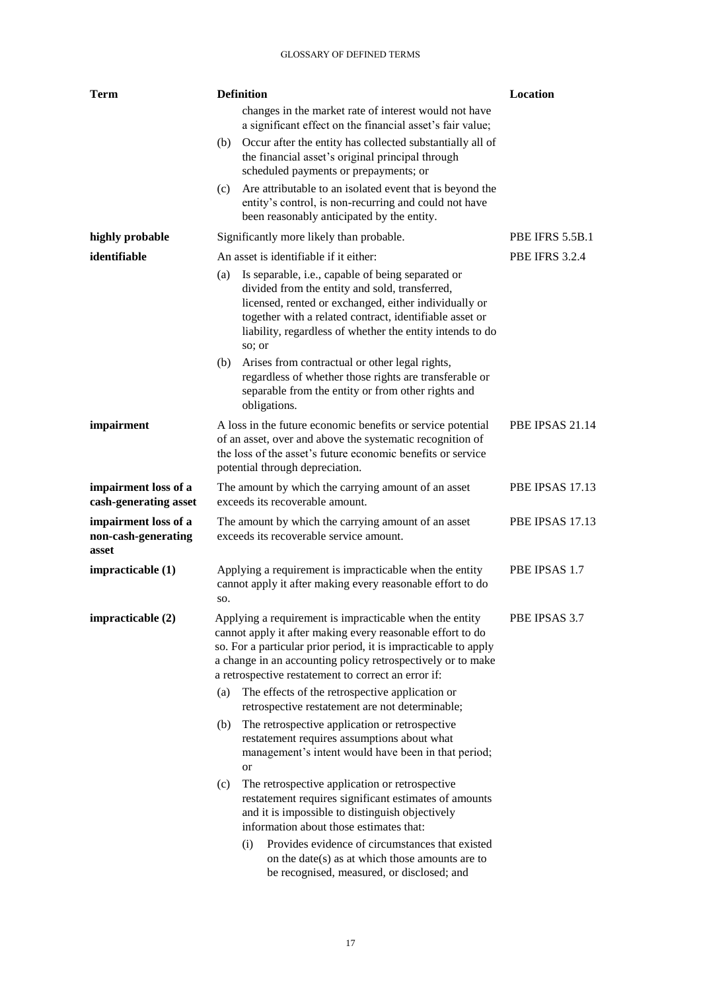| Term                                                 |     | <b>Definition</b>                                                                                                                                                                                                                                                                                              | Location               |
|------------------------------------------------------|-----|----------------------------------------------------------------------------------------------------------------------------------------------------------------------------------------------------------------------------------------------------------------------------------------------------------------|------------------------|
|                                                      |     | changes in the market rate of interest would not have<br>a significant effect on the financial asset's fair value;                                                                                                                                                                                             |                        |
|                                                      | (b) | Occur after the entity has collected substantially all of<br>the financial asset's original principal through<br>scheduled payments or prepayments; or                                                                                                                                                         |                        |
|                                                      | (c) | Are attributable to an isolated event that is beyond the<br>entity's control, is non-recurring and could not have<br>been reasonably anticipated by the entity.                                                                                                                                                |                        |
| highly probable                                      |     | Significantly more likely than probable.                                                                                                                                                                                                                                                                       | <b>PBE IFRS 5.5B.1</b> |
| identifiable                                         |     | An asset is identifiable if it either:                                                                                                                                                                                                                                                                         | <b>PBE IFRS 3.2.4</b>  |
|                                                      | (a) | Is separable, i.e., capable of being separated or<br>divided from the entity and sold, transferred,<br>licensed, rented or exchanged, either individually or<br>together with a related contract, identifiable asset or<br>liability, regardless of whether the entity intends to do<br>so; or                 |                        |
|                                                      | (b) | Arises from contractual or other legal rights,<br>regardless of whether those rights are transferable or<br>separable from the entity or from other rights and<br>obligations.                                                                                                                                 |                        |
| impairment                                           |     | A loss in the future economic benefits or service potential<br>of an asset, over and above the systematic recognition of<br>the loss of the asset's future economic benefits or service<br>potential through depreciation.                                                                                     | PBE IPSAS 21.14        |
| impairment loss of a<br>cash-generating asset        |     | The amount by which the carrying amount of an asset<br>exceeds its recoverable amount.                                                                                                                                                                                                                         | <b>PBE IPSAS 17.13</b> |
| impairment loss of a<br>non-cash-generating<br>asset |     | The amount by which the carrying amount of an asset<br>exceeds its recoverable service amount.                                                                                                                                                                                                                 | PBE IPSAS 17.13        |
| impracticable (1)                                    | SO. | Applying a requirement is impracticable when the entity<br>cannot apply it after making every reasonable effort to do                                                                                                                                                                                          | PBE IPSAS 1.7          |
| impracticable (2)                                    |     | Applying a requirement is impracticable when the entity<br>cannot apply it after making every reasonable effort to do<br>so. For a particular prior period, it is impracticable to apply<br>a change in an accounting policy retrospectively or to make<br>a retrospective restatement to correct an error if: | PBE IPSAS 3.7          |
|                                                      | (a) | The effects of the retrospective application or<br>retrospective restatement are not determinable;                                                                                                                                                                                                             |                        |
|                                                      | (b) | The retrospective application or retrospective<br>restatement requires assumptions about what<br>management's intent would have been in that period;<br>or                                                                                                                                                     |                        |
|                                                      | (c) | The retrospective application or retrospective<br>restatement requires significant estimates of amounts<br>and it is impossible to distinguish objectively<br>information about those estimates that:                                                                                                          |                        |
|                                                      |     | Provides evidence of circumstances that existed<br>(i)<br>on the date(s) as at which those amounts are to<br>be recognised, measured, or disclosed; and                                                                                                                                                        |                        |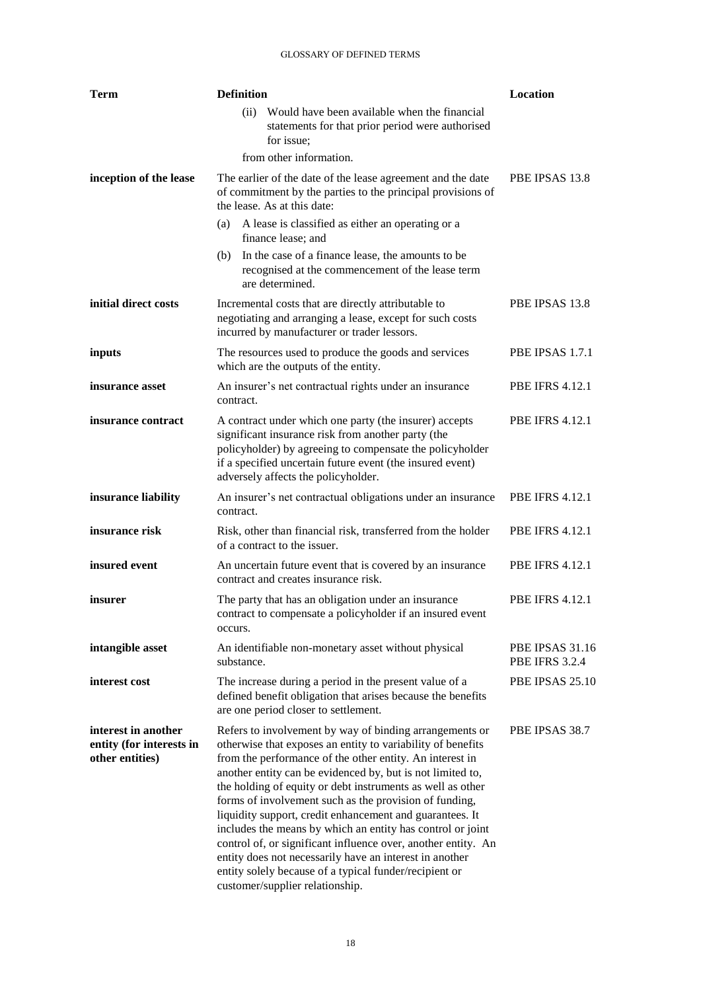| <b>Term</b>                                                        | <b>Definition</b>                                                                                                                                                                                                                                                                                                                                                                                                                                                                                                                                                                                                                                                                                                           | Location                                        |
|--------------------------------------------------------------------|-----------------------------------------------------------------------------------------------------------------------------------------------------------------------------------------------------------------------------------------------------------------------------------------------------------------------------------------------------------------------------------------------------------------------------------------------------------------------------------------------------------------------------------------------------------------------------------------------------------------------------------------------------------------------------------------------------------------------------|-------------------------------------------------|
|                                                                    | Would have been available when the financial<br>(ii)<br>statements for that prior period were authorised<br>for issue;<br>from other information.                                                                                                                                                                                                                                                                                                                                                                                                                                                                                                                                                                           |                                                 |
| inception of the lease                                             | The earlier of the date of the lease agreement and the date<br>of commitment by the parties to the principal provisions of<br>the lease. As at this date:                                                                                                                                                                                                                                                                                                                                                                                                                                                                                                                                                                   | PBE IPSAS 13.8                                  |
|                                                                    | A lease is classified as either an operating or a<br>(a)<br>finance lease; and                                                                                                                                                                                                                                                                                                                                                                                                                                                                                                                                                                                                                                              |                                                 |
|                                                                    | In the case of a finance lease, the amounts to be<br>(b)<br>recognised at the commencement of the lease term<br>are determined.                                                                                                                                                                                                                                                                                                                                                                                                                                                                                                                                                                                             |                                                 |
| initial direct costs                                               | Incremental costs that are directly attributable to<br>negotiating and arranging a lease, except for such costs<br>incurred by manufacturer or trader lessors.                                                                                                                                                                                                                                                                                                                                                                                                                                                                                                                                                              | PBE IPSAS 13.8                                  |
| inputs                                                             | The resources used to produce the goods and services<br>which are the outputs of the entity.                                                                                                                                                                                                                                                                                                                                                                                                                                                                                                                                                                                                                                | PBE IPSAS 1.7.1                                 |
| insurance asset                                                    | An insurer's net contractual rights under an insurance<br>contract.                                                                                                                                                                                                                                                                                                                                                                                                                                                                                                                                                                                                                                                         | <b>PBE IFRS 4.12.1</b>                          |
| insurance contract                                                 | A contract under which one party (the insurer) accepts<br>significant insurance risk from another party (the<br>policyholder) by agreeing to compensate the policyholder<br>if a specified uncertain future event (the insured event)<br>adversely affects the policyholder.                                                                                                                                                                                                                                                                                                                                                                                                                                                | <b>PBE IFRS 4.12.1</b>                          |
| insurance liability                                                | An insurer's net contractual obligations under an insurance<br>contract.                                                                                                                                                                                                                                                                                                                                                                                                                                                                                                                                                                                                                                                    | <b>PBE IFRS 4.12.1</b>                          |
| insurance risk                                                     | Risk, other than financial risk, transferred from the holder<br>of a contract to the issuer.                                                                                                                                                                                                                                                                                                                                                                                                                                                                                                                                                                                                                                | <b>PBE IFRS 4.12.1</b>                          |
| insured event                                                      | An uncertain future event that is covered by an insurance<br>contract and creates insurance risk.                                                                                                                                                                                                                                                                                                                                                                                                                                                                                                                                                                                                                           | <b>PBE IFRS 4.12.1</b>                          |
| insurer                                                            | The party that has an obligation under an insurance<br>contract to compensate a policyholder if an insured event<br>occurs.                                                                                                                                                                                                                                                                                                                                                                                                                                                                                                                                                                                                 | <b>PBE IFRS 4.12.1</b>                          |
| intangible asset                                                   | An identifiable non-monetary asset without physical<br>substance.                                                                                                                                                                                                                                                                                                                                                                                                                                                                                                                                                                                                                                                           | <b>PBE IPSAS 31.16</b><br><b>PBE IFRS 3.2.4</b> |
| interest cost                                                      | The increase during a period in the present value of a<br>defined benefit obligation that arises because the benefits<br>are one period closer to settlement.                                                                                                                                                                                                                                                                                                                                                                                                                                                                                                                                                               | PBE IPSAS 25.10                                 |
| interest in another<br>entity (for interests in<br>other entities) | Refers to involvement by way of binding arrangements or<br>otherwise that exposes an entity to variability of benefits<br>from the performance of the other entity. An interest in<br>another entity can be evidenced by, but is not limited to,<br>the holding of equity or debt instruments as well as other<br>forms of involvement such as the provision of funding,<br>liquidity support, credit enhancement and guarantees. It<br>includes the means by which an entity has control or joint<br>control of, or significant influence over, another entity. An<br>entity does not necessarily have an interest in another<br>entity solely because of a typical funder/recipient or<br>customer/supplier relationship. | PBE IPSAS 38.7                                  |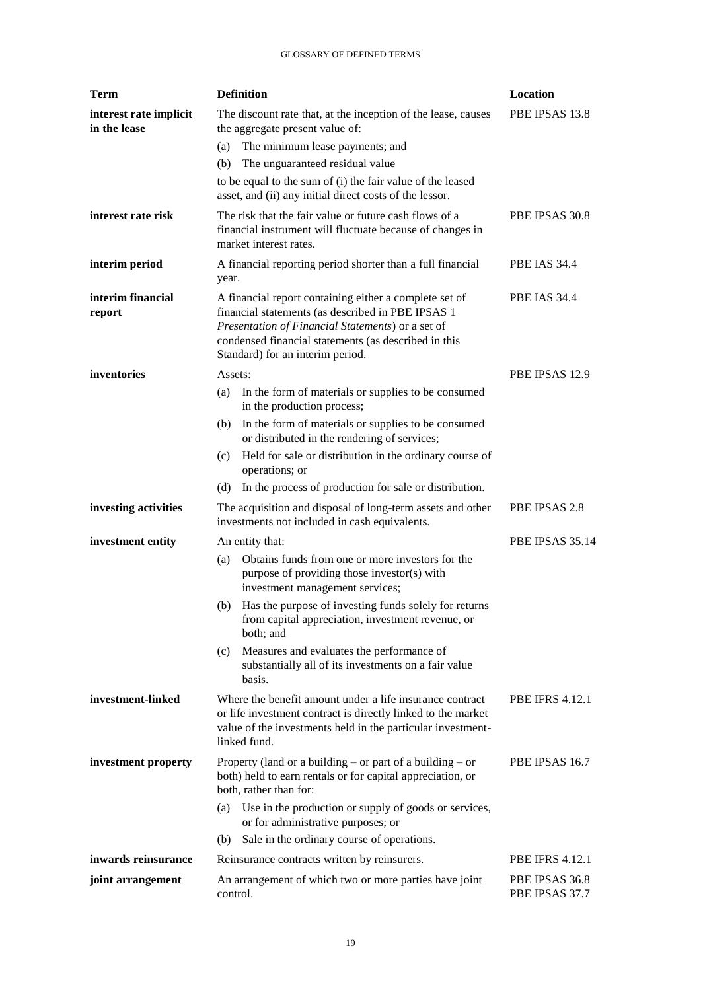| <b>Term</b>                            | <b>Definition</b>                                                                                                                                                                                                                                            | Location                         |
|----------------------------------------|--------------------------------------------------------------------------------------------------------------------------------------------------------------------------------------------------------------------------------------------------------------|----------------------------------|
| interest rate implicit<br>in the lease | The discount rate that, at the inception of the lease, causes<br>the aggregate present value of:                                                                                                                                                             | PBE IPSAS 13.8                   |
|                                        | The minimum lease payments; and<br>(a)                                                                                                                                                                                                                       |                                  |
|                                        | The unguaranteed residual value<br>(b)                                                                                                                                                                                                                       |                                  |
|                                        | to be equal to the sum of (i) the fair value of the leased<br>asset, and (ii) any initial direct costs of the lessor.                                                                                                                                        |                                  |
| interest rate risk                     | The risk that the fair value or future cash flows of a<br>financial instrument will fluctuate because of changes in<br>market interest rates.                                                                                                                | PBE IPSAS 30.8                   |
| interim period                         | A financial reporting period shorter than a full financial<br>year.                                                                                                                                                                                          | <b>PBE IAS 34.4</b>              |
| interim financial<br>report            | A financial report containing either a complete set of<br>financial statements (as described in PBE IPSAS 1<br>Presentation of Financial Statements) or a set of<br>condensed financial statements (as described in this<br>Standard) for an interim period. | <b>PBE IAS 34.4</b>              |
| inventories                            | Assets:                                                                                                                                                                                                                                                      | PBE IPSAS 12.9                   |
|                                        | In the form of materials or supplies to be consumed<br>(a)<br>in the production process;                                                                                                                                                                     |                                  |
|                                        | In the form of materials or supplies to be consumed<br>(b)<br>or distributed in the rendering of services;                                                                                                                                                   |                                  |
|                                        | Held for sale or distribution in the ordinary course of<br>(c)<br>operations; or                                                                                                                                                                             |                                  |
|                                        | In the process of production for sale or distribution.<br>(d)                                                                                                                                                                                                |                                  |
| investing activities                   | The acquisition and disposal of long-term assets and other<br>investments not included in cash equivalents.                                                                                                                                                  | PBE IPSAS 2.8                    |
| investment entity                      | An entity that:                                                                                                                                                                                                                                              | PBE IPSAS 35.14                  |
|                                        | Obtains funds from one or more investors for the<br>(a)<br>purpose of providing those investor(s) with<br>investment management services;                                                                                                                    |                                  |
|                                        | Has the purpose of investing funds solely for returns<br>(b)<br>from capital appreciation, investment revenue, or<br>both; and                                                                                                                               |                                  |
|                                        | Measures and evaluates the performance of<br>(c)<br>substantially all of its investments on a fair value<br>basis.                                                                                                                                           |                                  |
| investment-linked                      | Where the benefit amount under a life insurance contract<br>or life investment contract is directly linked to the market<br>value of the investments held in the particular investment-<br>linked fund.                                                      | <b>PBE IFRS 4.12.1</b>           |
| investment property                    | Property (land or a building – or part of a building – or<br>both) held to earn rentals or for capital appreciation, or<br>both, rather than for:                                                                                                            | PBE IPSAS 16.7                   |
|                                        | Use in the production or supply of goods or services,<br>(a)<br>or for administrative purposes; or                                                                                                                                                           |                                  |
|                                        | Sale in the ordinary course of operations.<br>(b)                                                                                                                                                                                                            |                                  |
| inwards reinsurance                    | Reinsurance contracts written by reinsurers.                                                                                                                                                                                                                 | <b>PBE IFRS 4.12.1</b>           |
| joint arrangement                      | An arrangement of which two or more parties have joint<br>control.                                                                                                                                                                                           | PBE IPSAS 36.8<br>PBE IPSAS 37.7 |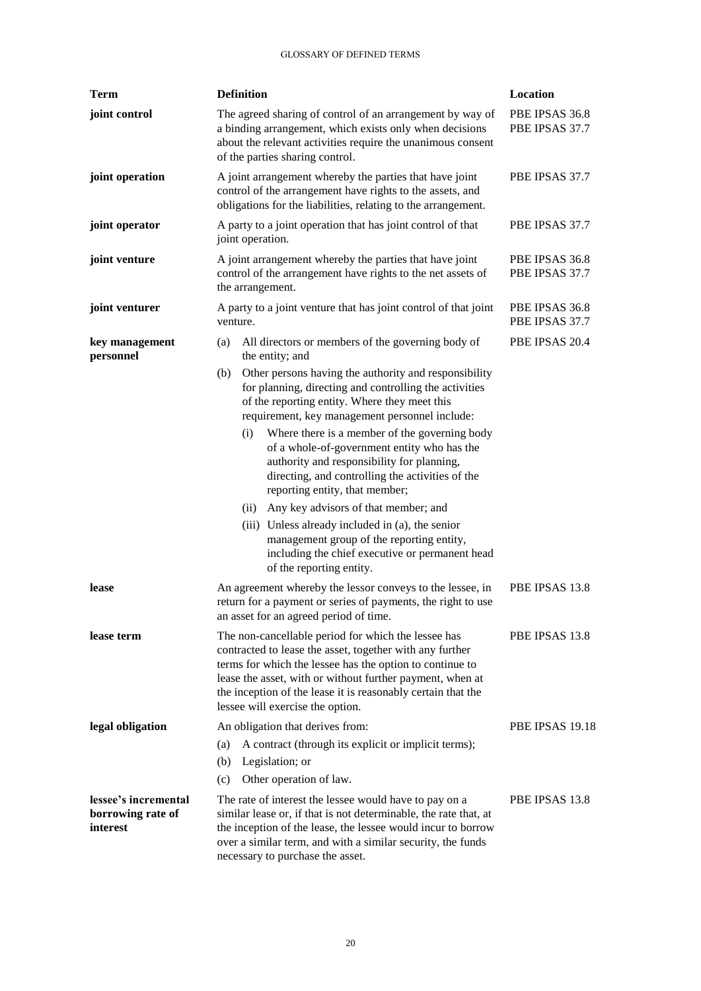| <b>Term</b>                                           | <b>Definition</b>                                                                                                                                                                                                                                                                                                                                                                                                                                                                                                                                                                                                                                                                                    | Location                         |
|-------------------------------------------------------|------------------------------------------------------------------------------------------------------------------------------------------------------------------------------------------------------------------------------------------------------------------------------------------------------------------------------------------------------------------------------------------------------------------------------------------------------------------------------------------------------------------------------------------------------------------------------------------------------------------------------------------------------------------------------------------------------|----------------------------------|
| joint control                                         | The agreed sharing of control of an arrangement by way of<br>a binding arrangement, which exists only when decisions<br>about the relevant activities require the unanimous consent<br>of the parties sharing control.                                                                                                                                                                                                                                                                                                                                                                                                                                                                               | PBE IPSAS 36.8<br>PBE IPSAS 37.7 |
| joint operation                                       | A joint arrangement whereby the parties that have joint<br>control of the arrangement have rights to the assets, and<br>obligations for the liabilities, relating to the arrangement.                                                                                                                                                                                                                                                                                                                                                                                                                                                                                                                | PBE IPSAS 37.7                   |
| joint operator                                        | A party to a joint operation that has joint control of that<br>joint operation.                                                                                                                                                                                                                                                                                                                                                                                                                                                                                                                                                                                                                      | PBE IPSAS 37.7                   |
| joint venture                                         | A joint arrangement whereby the parties that have joint<br>control of the arrangement have rights to the net assets of<br>the arrangement.                                                                                                                                                                                                                                                                                                                                                                                                                                                                                                                                                           | PBE IPSAS 36.8<br>PBE IPSAS 37.7 |
| joint venturer                                        | A party to a joint venture that has joint control of that joint<br>venture.                                                                                                                                                                                                                                                                                                                                                                                                                                                                                                                                                                                                                          | PBE IPSAS 36.8<br>PBE IPSAS 37.7 |
| key management<br>personnel                           | All directors or members of the governing body of<br>(a)<br>the entity; and                                                                                                                                                                                                                                                                                                                                                                                                                                                                                                                                                                                                                          | PBE IPSAS 20.4                   |
|                                                       | Other persons having the authority and responsibility<br>(b)<br>for planning, directing and controlling the activities<br>of the reporting entity. Where they meet this<br>requirement, key management personnel include:<br>Where there is a member of the governing body<br>(i)<br>of a whole-of-government entity who has the<br>authority and responsibility for planning,<br>directing, and controlling the activities of the<br>reporting entity, that member;<br>Any key advisors of that member; and<br>(ii)<br>(iii) Unless already included in (a), the senior<br>management group of the reporting entity,<br>including the chief executive or permanent head<br>of the reporting entity. |                                  |
| lease                                                 | An agreement whereby the lessor conveys to the lessee, in<br>return for a payment or series of payments, the right to use<br>an asset for an agreed period of time.                                                                                                                                                                                                                                                                                                                                                                                                                                                                                                                                  | PBE IPSAS 13.8                   |
| lease term                                            | The non-cancellable period for which the lessee has<br>contracted to lease the asset, together with any further<br>terms for which the lessee has the option to continue to<br>lease the asset, with or without further payment, when at<br>the inception of the lease it is reasonably certain that the<br>lessee will exercise the option.                                                                                                                                                                                                                                                                                                                                                         | PBE IPSAS 13.8                   |
| legal obligation                                      | An obligation that derives from:<br>A contract (through its explicit or implicit terms);<br>(a)<br>Legislation; or<br>(b)<br>Other operation of law.<br>(c)                                                                                                                                                                                                                                                                                                                                                                                                                                                                                                                                          | PBE IPSAS 19.18                  |
| lessee's incremental<br>borrowing rate of<br>interest | The rate of interest the lessee would have to pay on a<br>similar lease or, if that is not determinable, the rate that, at<br>the inception of the lease, the lessee would incur to borrow<br>over a similar term, and with a similar security, the funds<br>necessary to purchase the asset.                                                                                                                                                                                                                                                                                                                                                                                                        | PBE IPSAS 13.8                   |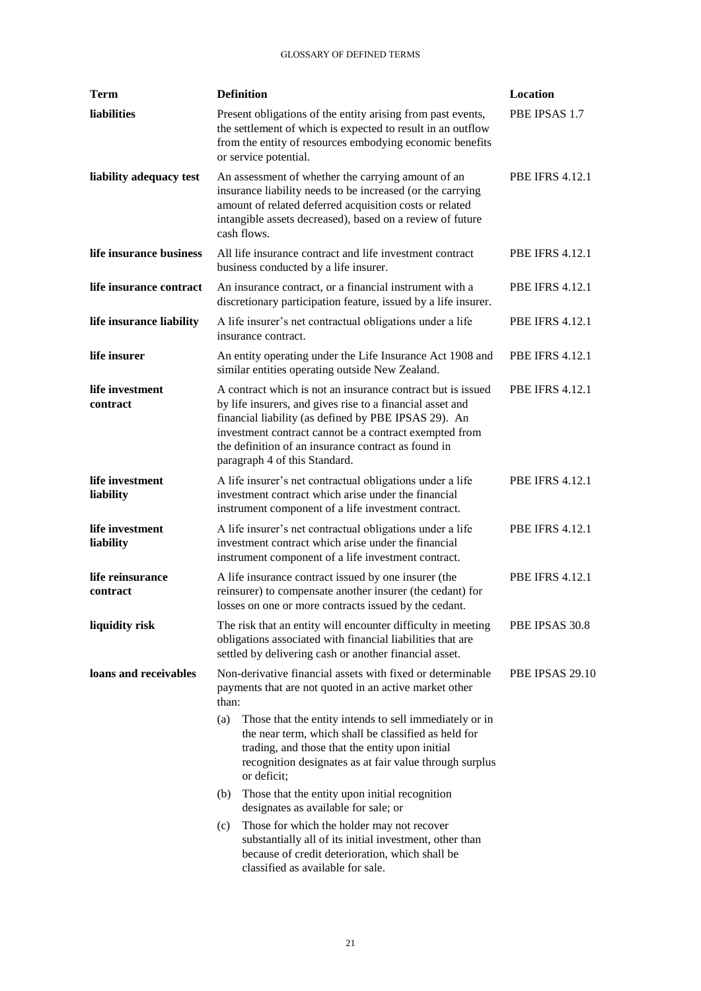| <b>Term</b>                  | <b>Definition</b>                                                                                                                                                                                                                                                                                                                  | Location               |
|------------------------------|------------------------------------------------------------------------------------------------------------------------------------------------------------------------------------------------------------------------------------------------------------------------------------------------------------------------------------|------------------------|
| liabilities                  | Present obligations of the entity arising from past events,<br>the settlement of which is expected to result in an outflow<br>from the entity of resources embodying economic benefits<br>or service potential.                                                                                                                    | PBE IPSAS 1.7          |
| liability adequacy test      | An assessment of whether the carrying amount of an<br>insurance liability needs to be increased (or the carrying<br>amount of related deferred acquisition costs or related<br>intangible assets decreased), based on a review of future<br>cash flows.                                                                            | <b>PBE IFRS 4.12.1</b> |
| life insurance business      | All life insurance contract and life investment contract<br>business conducted by a life insurer.                                                                                                                                                                                                                                  | <b>PBE IFRS 4.12.1</b> |
| life insurance contract      | An insurance contract, or a financial instrument with a<br>discretionary participation feature, issued by a life insurer.                                                                                                                                                                                                          | <b>PBE IFRS 4.12.1</b> |
| life insurance liability     | A life insurer's net contractual obligations under a life<br>insurance contract.                                                                                                                                                                                                                                                   | <b>PBE IFRS 4.12.1</b> |
| life insurer                 | An entity operating under the Life Insurance Act 1908 and<br>similar entities operating outside New Zealand.                                                                                                                                                                                                                       | <b>PBE IFRS 4.12.1</b> |
| life investment<br>contract  | A contract which is not an insurance contract but is issued<br>by life insurers, and gives rise to a financial asset and<br>financial liability (as defined by PBE IPSAS 29). An<br>investment contract cannot be a contract exempted from<br>the definition of an insurance contract as found in<br>paragraph 4 of this Standard. | <b>PBE IFRS 4.12.1</b> |
| life investment<br>liability | A life insurer's net contractual obligations under a life<br>investment contract which arise under the financial<br>instrument component of a life investment contract.                                                                                                                                                            | <b>PBE IFRS 4.12.1</b> |
| life investment<br>liability | A life insurer's net contractual obligations under a life<br>investment contract which arise under the financial<br>instrument component of a life investment contract.                                                                                                                                                            | <b>PBE IFRS 4.12.1</b> |
| life reinsurance<br>contract | A life insurance contract issued by one insurer (the<br>reinsurer) to compensate another insurer (the cedant) for<br>losses on one or more contracts issued by the cedant.                                                                                                                                                         | <b>PBE IFRS 4.12.1</b> |
| liquidity risk               | The risk that an entity will encounter difficulty in meeting<br>obligations associated with financial liabilities that are<br>settled by delivering cash or another financial asset.                                                                                                                                               | PBE IPSAS 30.8         |
| loans and receivables        | Non-derivative financial assets with fixed or determinable<br>payments that are not quoted in an active market other<br>than:                                                                                                                                                                                                      | PBE IPSAS 29.10        |
|                              | Those that the entity intends to sell immediately or in<br>(a)<br>the near term, which shall be classified as held for<br>trading, and those that the entity upon initial<br>recognition designates as at fair value through surplus<br>or deficit;                                                                                |                        |
|                              | Those that the entity upon initial recognition<br>(b)<br>designates as available for sale; or                                                                                                                                                                                                                                      |                        |
|                              | Those for which the holder may not recover<br>(c)<br>substantially all of its initial investment, other than<br>because of credit deterioration, which shall be<br>classified as available for sale.                                                                                                                               |                        |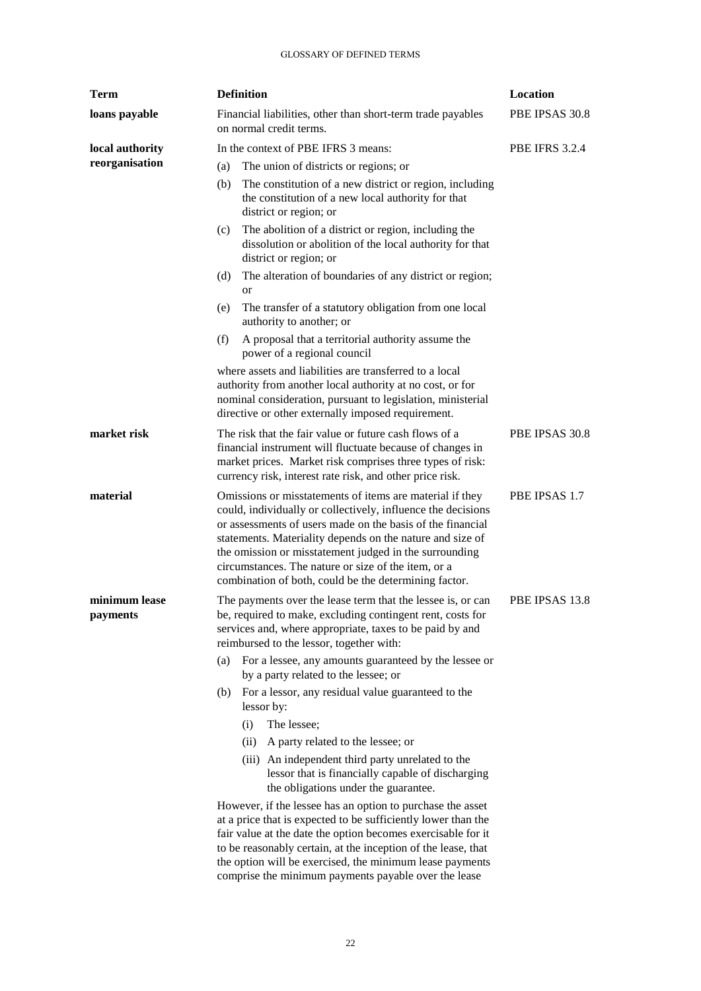| <b>Term</b>               | <b>Definition</b>                                                                                                                                                                                                                                                                                                                                                                                                             | Location              |
|---------------------------|-------------------------------------------------------------------------------------------------------------------------------------------------------------------------------------------------------------------------------------------------------------------------------------------------------------------------------------------------------------------------------------------------------------------------------|-----------------------|
| loans payable             | Financial liabilities, other than short-term trade payables<br>on normal credit terms.                                                                                                                                                                                                                                                                                                                                        | PBE IPSAS 30.8        |
| local authority           | In the context of PBE IFRS 3 means:                                                                                                                                                                                                                                                                                                                                                                                           | <b>PBE IFRS 3.2.4</b> |
| reorganisation            | The union of districts or regions; or<br>(a)                                                                                                                                                                                                                                                                                                                                                                                  |                       |
|                           | The constitution of a new district or region, including<br>(b)<br>the constitution of a new local authority for that<br>district or region; or                                                                                                                                                                                                                                                                                |                       |
|                           | The abolition of a district or region, including the<br>(c)<br>dissolution or abolition of the local authority for that<br>district or region; or                                                                                                                                                                                                                                                                             |                       |
|                           | The alteration of boundaries of any district or region;<br>(d)<br><b>or</b>                                                                                                                                                                                                                                                                                                                                                   |                       |
|                           | The transfer of a statutory obligation from one local<br>(e)<br>authority to another; or                                                                                                                                                                                                                                                                                                                                      |                       |
|                           | A proposal that a territorial authority assume the<br>(f)<br>power of a regional council                                                                                                                                                                                                                                                                                                                                      |                       |
|                           | where assets and liabilities are transferred to a local<br>authority from another local authority at no cost, or for<br>nominal consideration, pursuant to legislation, ministerial<br>directive or other externally imposed requirement.                                                                                                                                                                                     |                       |
| market risk               | The risk that the fair value or future cash flows of a<br>financial instrument will fluctuate because of changes in<br>market prices. Market risk comprises three types of risk:<br>currency risk, interest rate risk, and other price risk.                                                                                                                                                                                  | PBE IPSAS 30.8        |
| material                  | Omissions or misstatements of items are material if they<br>could, individually or collectively, influence the decisions<br>or assessments of users made on the basis of the financial<br>statements. Materiality depends on the nature and size of<br>the omission or misstatement judged in the surrounding<br>circumstances. The nature or size of the item, or a<br>combination of both, could be the determining factor. | PBE IPSAS 1.7         |
| minimum lease<br>payments | The payments over the lease term that the lessee is, or can<br>be, required to make, excluding contingent rent, costs for<br>services and, where appropriate, taxes to be paid by and<br>reimbursed to the lessor, together with:                                                                                                                                                                                             | PBE IPSAS 13.8        |
|                           | For a lessee, any amounts guaranteed by the lessee or<br>(a)<br>by a party related to the lessee; or                                                                                                                                                                                                                                                                                                                          |                       |
|                           | For a lessor, any residual value guaranteed to the<br>(b)<br>lessor by:                                                                                                                                                                                                                                                                                                                                                       |                       |
|                           | The lessee;<br>(i)                                                                                                                                                                                                                                                                                                                                                                                                            |                       |
|                           | A party related to the lessee; or<br>(ii)                                                                                                                                                                                                                                                                                                                                                                                     |                       |
|                           | (iii) An independent third party unrelated to the<br>lessor that is financially capable of discharging<br>the obligations under the guarantee.                                                                                                                                                                                                                                                                                |                       |
|                           | However, if the lessee has an option to purchase the asset<br>at a price that is expected to be sufficiently lower than the<br>fair value at the date the option becomes exercisable for it<br>to be reasonably certain, at the inception of the lease, that<br>the option will be exercised, the minimum lease payments<br>comprise the minimum payments payable over the lease                                              |                       |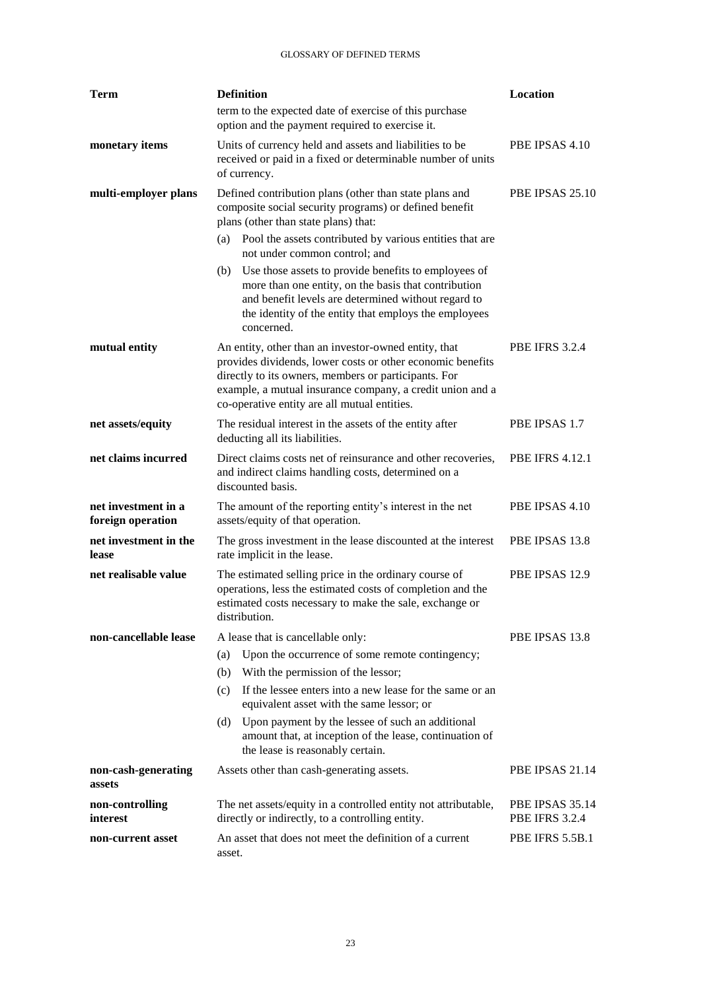| Term                                     |        | <b>Definition</b>                                                                                                                                                                                                                                                                       | Location                                 |
|------------------------------------------|--------|-----------------------------------------------------------------------------------------------------------------------------------------------------------------------------------------------------------------------------------------------------------------------------------------|------------------------------------------|
|                                          |        | term to the expected date of exercise of this purchase<br>option and the payment required to exercise it.                                                                                                                                                                               |                                          |
| monetary items                           |        | Units of currency held and assets and liabilities to be<br>received or paid in a fixed or determinable number of units<br>of currency.                                                                                                                                                  | PBE IPSAS 4.10                           |
| multi-employer plans                     |        | Defined contribution plans (other than state plans and<br>composite social security programs) or defined benefit<br>plans (other than state plans) that:                                                                                                                                | PBE IPSAS 25.10                          |
|                                          | (a)    | Pool the assets contributed by various entities that are<br>not under common control; and                                                                                                                                                                                               |                                          |
|                                          | (b)    | Use those assets to provide benefits to employees of<br>more than one entity, on the basis that contribution<br>and benefit levels are determined without regard to<br>the identity of the entity that employs the employees<br>concerned.                                              |                                          |
| mutual entity                            |        | An entity, other than an investor-owned entity, that<br>provides dividends, lower costs or other economic benefits<br>directly to its owners, members or participants. For<br>example, a mutual insurance company, a credit union and a<br>co-operative entity are all mutual entities. | <b>PBE IFRS 3.2.4</b>                    |
| net assets/equity                        |        | The residual interest in the assets of the entity after<br>deducting all its liabilities.                                                                                                                                                                                               | PBE IPSAS 1.7                            |
| net claims incurred                      |        | Direct claims costs net of reinsurance and other recoveries,<br>and indirect claims handling costs, determined on a<br>discounted basis.                                                                                                                                                | <b>PBE IFRS 4.12.1</b>                   |
| net investment in a<br>foreign operation |        | The amount of the reporting entity's interest in the net<br>assets/equity of that operation.                                                                                                                                                                                            | PBE IPSAS 4.10                           |
| net investment in the<br>lease           |        | The gross investment in the lease discounted at the interest<br>rate implicit in the lease.                                                                                                                                                                                             | PBE IPSAS 13.8                           |
| net realisable value                     |        | The estimated selling price in the ordinary course of<br>operations, less the estimated costs of completion and the<br>estimated costs necessary to make the sale, exchange or<br>distribution.                                                                                         | PBE IPSAS 12.9                           |
| non-cancellable lease                    |        | A lease that is cancellable only:                                                                                                                                                                                                                                                       | PBE IPSAS 13.8                           |
|                                          | (a)    | Upon the occurrence of some remote contingency;                                                                                                                                                                                                                                         |                                          |
|                                          | (b)    | With the permission of the lessor;                                                                                                                                                                                                                                                      |                                          |
|                                          | (c)    | If the lessee enters into a new lease for the same or an<br>equivalent asset with the same lessor; or                                                                                                                                                                                   |                                          |
|                                          | (d)    | Upon payment by the lessee of such an additional<br>amount that, at inception of the lease, continuation of<br>the lease is reasonably certain.                                                                                                                                         |                                          |
| non-cash-generating<br>assets            |        | Assets other than cash-generating assets.                                                                                                                                                                                                                                               | PBE IPSAS 21.14                          |
| non-controlling<br>interest              |        | The net assets/equity in a controlled entity not attributable,<br>directly or indirectly, to a controlling entity.                                                                                                                                                                      | PBE IPSAS 35.14<br><b>PBE IFRS 3.2.4</b> |
| non-current asset                        | asset. | An asset that does not meet the definition of a current                                                                                                                                                                                                                                 | <b>PBE IFRS 5.5B.1</b>                   |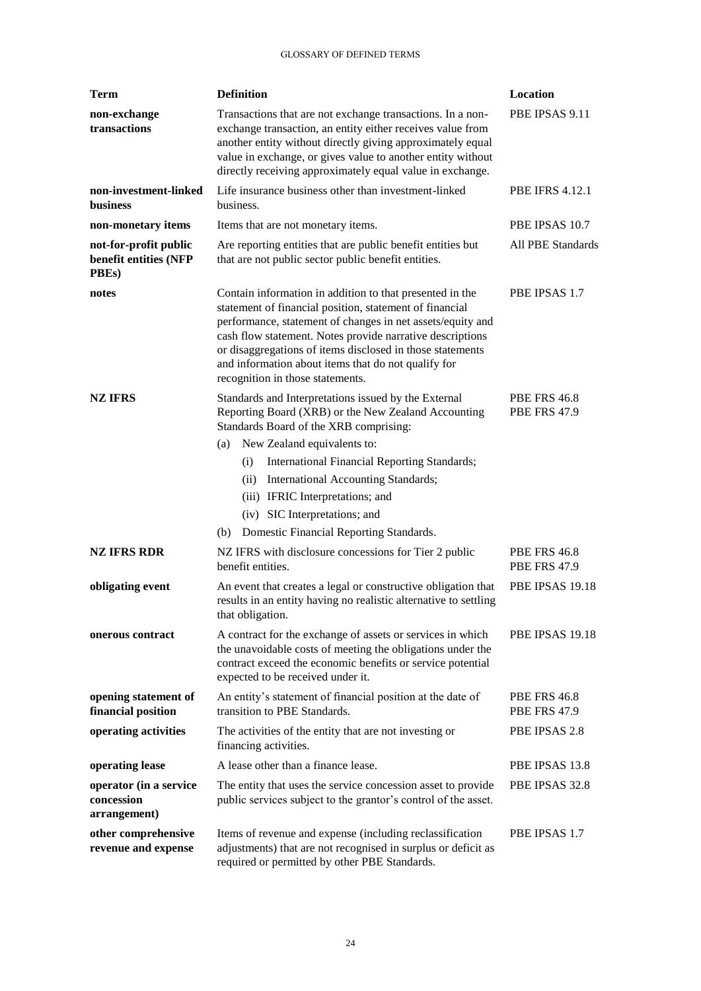| <b>Term</b>                                             | <b>Definition</b>                                                                                                                                                                                                                                                                                                                                                                                      | Location                                   |
|---------------------------------------------------------|--------------------------------------------------------------------------------------------------------------------------------------------------------------------------------------------------------------------------------------------------------------------------------------------------------------------------------------------------------------------------------------------------------|--------------------------------------------|
| non-exchange<br>transactions                            | Transactions that are not exchange transactions. In a non-<br>exchange transaction, an entity either receives value from<br>another entity without directly giving approximately equal<br>value in exchange, or gives value to another entity without<br>directly receiving approximately equal value in exchange.                                                                                     | PBE IPSAS 9.11                             |
| non-investment-linked<br><b>business</b>                | Life insurance business other than investment-linked<br>business.                                                                                                                                                                                                                                                                                                                                      | <b>PBE IFRS 4.12.1</b>                     |
| non-monetary items                                      | Items that are not monetary items.                                                                                                                                                                                                                                                                                                                                                                     | PBE IPSAS 10.7                             |
| not-for-profit public<br>benefit entities (NFP<br>PBEs) | Are reporting entities that are public benefit entities but<br>that are not public sector public benefit entities.                                                                                                                                                                                                                                                                                     | All PBE Standards                          |
| notes                                                   | Contain information in addition to that presented in the<br>statement of financial position, statement of financial<br>performance, statement of changes in net assets/equity and<br>cash flow statement. Notes provide narrative descriptions<br>or disaggregations of items disclosed in those statements<br>and information about items that do not qualify for<br>recognition in those statements. | PBE IPSAS 1.7                              |
| NZ IFRS                                                 | Standards and Interpretations issued by the External<br>Reporting Board (XRB) or the New Zealand Accounting<br>Standards Board of the XRB comprising:                                                                                                                                                                                                                                                  | <b>PBE FRS 46.8</b><br><b>PBE FRS 47.9</b> |
|                                                         | New Zealand equivalents to:<br>(a)                                                                                                                                                                                                                                                                                                                                                                     |                                            |
|                                                         | International Financial Reporting Standards;<br>(i)                                                                                                                                                                                                                                                                                                                                                    |                                            |
|                                                         | International Accounting Standards;<br>(ii)                                                                                                                                                                                                                                                                                                                                                            |                                            |
|                                                         | (iii) IFRIC Interpretations; and                                                                                                                                                                                                                                                                                                                                                                       |                                            |
|                                                         | (iv) SIC Interpretations; and                                                                                                                                                                                                                                                                                                                                                                          |                                            |
|                                                         | Domestic Financial Reporting Standards.<br>(b)                                                                                                                                                                                                                                                                                                                                                         |                                            |
| <b>NZ IFRS RDR</b>                                      | NZ IFRS with disclosure concessions for Tier 2 public<br>benefit entities.                                                                                                                                                                                                                                                                                                                             | <b>PBE FRS 46.8</b><br><b>PBE FRS 47.9</b> |
| obligating event                                        | An event that creates a legal or constructive obligation that<br>results in an entity having no realistic alternative to settling<br>that obligation.                                                                                                                                                                                                                                                  | PBE IPSAS 19.18                            |
| onerous contract                                        | A contract for the exchange of assets or services in which<br>the unavoidable costs of meeting the obligations under the<br>contract exceed the economic benefits or service potential<br>expected to be received under it.                                                                                                                                                                            | PBE IPSAS 19.18                            |
| opening statement of<br>financial position              | An entity's statement of financial position at the date of<br>transition to PBE Standards.                                                                                                                                                                                                                                                                                                             | <b>PBE FRS 46.8</b><br><b>PBE FRS 47.9</b> |
| operating activities                                    | The activities of the entity that are not investing or<br>financing activities.                                                                                                                                                                                                                                                                                                                        | PBE IPSAS 2.8                              |
| operating lease                                         | A lease other than a finance lease.                                                                                                                                                                                                                                                                                                                                                                    | PBE IPSAS 13.8                             |
| operator (in a service<br>concession<br>arrangement)    | The entity that uses the service concession asset to provide<br>public services subject to the grantor's control of the asset.                                                                                                                                                                                                                                                                         | PBE IPSAS 32.8                             |
| other comprehensive<br>revenue and expense              | Items of revenue and expense (including reclassification<br>adjustments) that are not recognised in surplus or deficit as<br>required or permitted by other PBE Standards.                                                                                                                                                                                                                             | PBE IPSAS 1.7                              |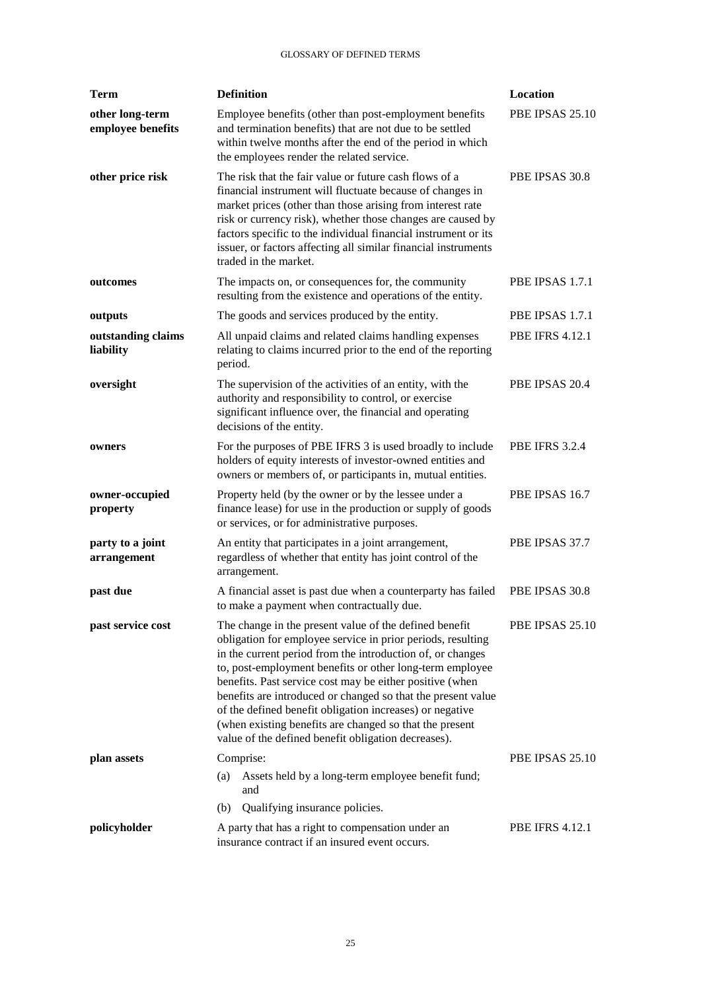| <b>Term</b>                          | <b>Definition</b>                                                                                                                                                                                                                                                                                                                                                                                                                                                                                                                                         | Location               |
|--------------------------------------|-----------------------------------------------------------------------------------------------------------------------------------------------------------------------------------------------------------------------------------------------------------------------------------------------------------------------------------------------------------------------------------------------------------------------------------------------------------------------------------------------------------------------------------------------------------|------------------------|
| other long-term<br>employee benefits | Employee benefits (other than post-employment benefits<br>and termination benefits) that are not due to be settled<br>within twelve months after the end of the period in which<br>the employees render the related service.                                                                                                                                                                                                                                                                                                                              | PBE IPSAS 25.10        |
| other price risk                     | The risk that the fair value or future cash flows of a<br>financial instrument will fluctuate because of changes in<br>market prices (other than those arising from interest rate<br>risk or currency risk), whether those changes are caused by<br>factors specific to the individual financial instrument or its<br>issuer, or factors affecting all similar financial instruments<br>traded in the market.                                                                                                                                             | PBE IPSAS 30.8         |
| outcomes                             | The impacts on, or consequences for, the community<br>resulting from the existence and operations of the entity.                                                                                                                                                                                                                                                                                                                                                                                                                                          | PBE IPSAS 1.7.1        |
| outputs                              | The goods and services produced by the entity.                                                                                                                                                                                                                                                                                                                                                                                                                                                                                                            | PBE IPSAS 1.7.1        |
| outstanding claims<br>liability      | All unpaid claims and related claims handling expenses<br>relating to claims incurred prior to the end of the reporting<br>period.                                                                                                                                                                                                                                                                                                                                                                                                                        | <b>PBE IFRS 4.12.1</b> |
| oversight                            | The supervision of the activities of an entity, with the<br>authority and responsibility to control, or exercise<br>significant influence over, the financial and operating<br>decisions of the entity.                                                                                                                                                                                                                                                                                                                                                   | PBE IPSAS 20.4         |
| owners                               | For the purposes of PBE IFRS 3 is used broadly to include<br>holders of equity interests of investor-owned entities and<br>owners or members of, or participants in, mutual entities.                                                                                                                                                                                                                                                                                                                                                                     | <b>PBE IFRS 3.2.4</b>  |
| owner-occupied<br>property           | Property held (by the owner or by the lessee under a<br>finance lease) for use in the production or supply of goods<br>or services, or for administrative purposes.                                                                                                                                                                                                                                                                                                                                                                                       | PBE IPSAS 16.7         |
| party to a joint<br>arrangement      | An entity that participates in a joint arrangement,<br>regardless of whether that entity has joint control of the<br>arrangement.                                                                                                                                                                                                                                                                                                                                                                                                                         | PBE IPSAS 37.7         |
| past due                             | A financial asset is past due when a counterparty has failed<br>to make a payment when contractually due.                                                                                                                                                                                                                                                                                                                                                                                                                                                 | PBE IPSAS 30.8         |
| past service cost                    | The change in the present value of the defined benefit<br>obligation for employee service in prior periods, resulting<br>in the current period from the introduction of, or changes<br>to, post-employment benefits or other long-term employee<br>benefits. Past service cost may be either positive (when<br>benefits are introduced or changed so that the present value<br>of the defined benefit obligation increases) or negative<br>(when existing benefits are changed so that the present<br>value of the defined benefit obligation decreases). | PBE IPSAS 25.10        |
| plan assets                          | Comprise:                                                                                                                                                                                                                                                                                                                                                                                                                                                                                                                                                 | PBE IPSAS 25.10        |
|                                      | Assets held by a long-term employee benefit fund;<br>(a)<br>and                                                                                                                                                                                                                                                                                                                                                                                                                                                                                           |                        |
|                                      | Qualifying insurance policies.<br>(b)                                                                                                                                                                                                                                                                                                                                                                                                                                                                                                                     |                        |
| policyholder                         | A party that has a right to compensation under an<br>insurance contract if an insured event occurs.                                                                                                                                                                                                                                                                                                                                                                                                                                                       | <b>PBE IFRS 4.12.1</b> |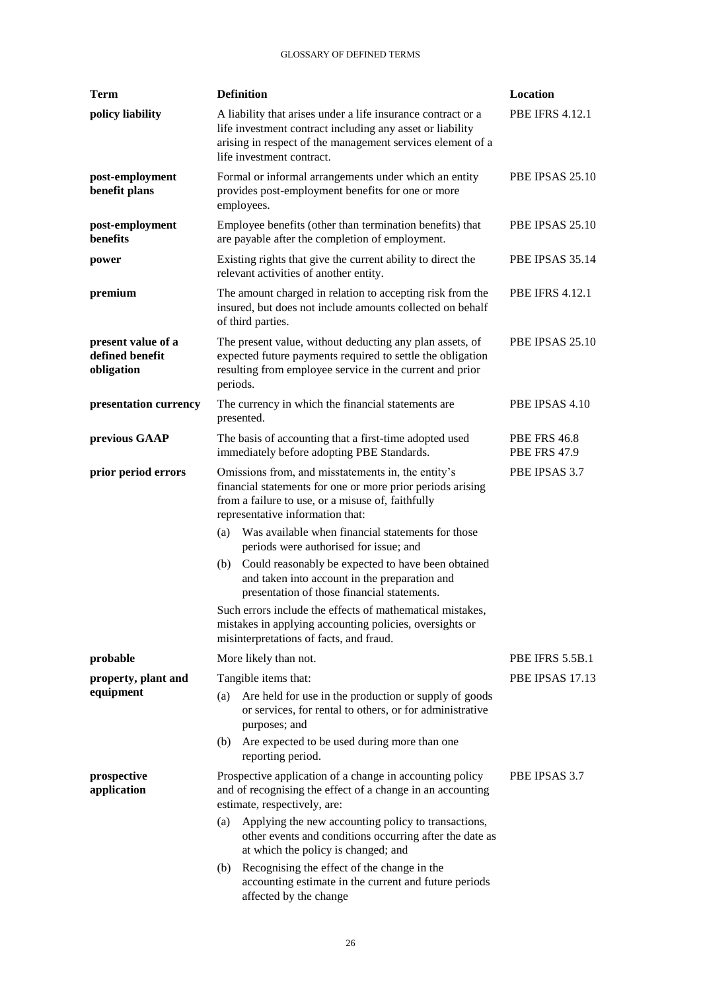| <b>Term</b>                                         | <b>Definition</b>                                                                                                                                                                                                          | Location                                   |  |
|-----------------------------------------------------|----------------------------------------------------------------------------------------------------------------------------------------------------------------------------------------------------------------------------|--------------------------------------------|--|
| policy liability                                    | A liability that arises under a life insurance contract or a<br>life investment contract including any asset or liability<br>arising in respect of the management services element of a<br>life investment contract.       | <b>PBE IFRS 4.12.1</b>                     |  |
| post-employment<br>benefit plans                    | Formal or informal arrangements under which an entity<br>provides post-employment benefits for one or more<br>employees.                                                                                                   | PBE IPSAS 25.10                            |  |
| post-employment<br>benefits                         | Employee benefits (other than termination benefits) that<br>are payable after the completion of employment.                                                                                                                | PBE IPSAS 25.10                            |  |
| power                                               | Existing rights that give the current ability to direct the<br>relevant activities of another entity.                                                                                                                      | PBE IPSAS 35.14                            |  |
| premium                                             | The amount charged in relation to accepting risk from the<br>insured, but does not include amounts collected on behalf<br>of third parties.                                                                                | <b>PBE IFRS 4.12.1</b>                     |  |
| present value of a<br>defined benefit<br>obligation | The present value, without deducting any plan assets, of<br>expected future payments required to settle the obligation<br>resulting from employee service in the current and prior<br>periods.                             | <b>PBE IPSAS 25.10</b>                     |  |
| presentation currency                               | The currency in which the financial statements are<br>presented.                                                                                                                                                           | PBE IPSAS 4.10                             |  |
| previous GAAP                                       | The basis of accounting that a first-time adopted used<br>immediately before adopting PBE Standards.                                                                                                                       | <b>PBE FRS 46.8</b><br><b>PBE FRS 47.9</b> |  |
| prior period errors                                 | Omissions from, and misstatements in, the entity's<br>PBE IPSAS 3.7<br>financial statements for one or more prior periods arising<br>from a failure to use, or a misuse of, faithfully<br>representative information that: |                                            |  |
|                                                     | Was available when financial statements for those<br>(a)<br>periods were authorised for issue; and                                                                                                                         |                                            |  |
|                                                     | (b) Could reasonably be expected to have been obtained<br>and taken into account in the preparation and<br>presentation of those financial statements.                                                                     |                                            |  |
|                                                     | Such errors include the effects of mathematical mistakes.<br>mistakes in applying accounting policies, oversights or<br>misinterpretations of facts, and fraud.                                                            |                                            |  |
| probable                                            | More likely than not.                                                                                                                                                                                                      | PBE IFRS 5.5B.1                            |  |
| property, plant and<br>equipment                    | Tangible items that:                                                                                                                                                                                                       | PBE IPSAS 17.13                            |  |
|                                                     | Are held for use in the production or supply of goods<br>(a)<br>or services, for rental to others, or for administrative<br>purposes; and                                                                                  |                                            |  |
|                                                     | Are expected to be used during more than one<br>(b)<br>reporting period.                                                                                                                                                   |                                            |  |
| prospective<br>application                          | Prospective application of a change in accounting policy<br>and of recognising the effect of a change in an accounting<br>estimate, respectively, are:                                                                     | PBE IPSAS 3.7                              |  |
|                                                     | Applying the new accounting policy to transactions,<br>(a)<br>other events and conditions occurring after the date as<br>at which the policy is changed; and                                                               |                                            |  |
|                                                     | Recognising the effect of the change in the<br>(b)<br>accounting estimate in the current and future periods<br>affected by the change                                                                                      |                                            |  |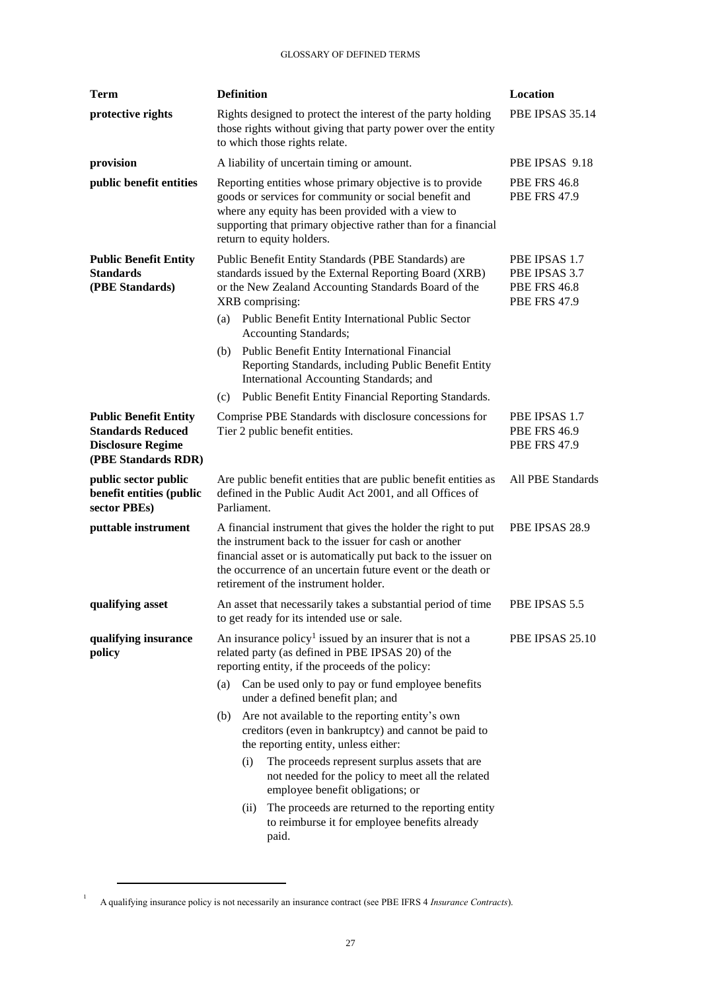| <b>Term</b>                                                                                                 | <b>Definition</b>                                                                                                                                                                                                                                                                                                                                                                                                                                                                                                                                                                                                                                                                                                | Location                                                                     |
|-------------------------------------------------------------------------------------------------------------|------------------------------------------------------------------------------------------------------------------------------------------------------------------------------------------------------------------------------------------------------------------------------------------------------------------------------------------------------------------------------------------------------------------------------------------------------------------------------------------------------------------------------------------------------------------------------------------------------------------------------------------------------------------------------------------------------------------|------------------------------------------------------------------------------|
| protective rights                                                                                           | Rights designed to protect the interest of the party holding<br>those rights without giving that party power over the entity<br>to which those rights relate.                                                                                                                                                                                                                                                                                                                                                                                                                                                                                                                                                    | PBE IPSAS 35.14                                                              |
| provision                                                                                                   | A liability of uncertain timing or amount.                                                                                                                                                                                                                                                                                                                                                                                                                                                                                                                                                                                                                                                                       | PBE IPSAS 9.18                                                               |
| public benefit entities                                                                                     | Reporting entities whose primary objective is to provide<br>goods or services for community or social benefit and<br>where any equity has been provided with a view to<br>supporting that primary objective rather than for a financial<br>return to equity holders.                                                                                                                                                                                                                                                                                                                                                                                                                                             | <b>PBE FRS 46.8</b><br><b>PBE FRS 47.9</b>                                   |
| <b>Public Benefit Entity</b><br><b>Standards</b><br>(PBE Standards)                                         | Public Benefit Entity Standards (PBE Standards) are<br>standards issued by the External Reporting Board (XRB)<br>or the New Zealand Accounting Standards Board of the<br>XRB comprising:<br>Public Benefit Entity International Public Sector<br>(a)<br><b>Accounting Standards;</b><br>Public Benefit Entity International Financial<br>(b)<br>Reporting Standards, including Public Benefit Entity<br>International Accounting Standards; and                                                                                                                                                                                                                                                                  | PBE IPSAS 1.7<br>PBE IPSAS 3.7<br><b>PBE FRS 46.8</b><br><b>PBE FRS 47.9</b> |
|                                                                                                             | Public Benefit Entity Financial Reporting Standards.<br>(c)                                                                                                                                                                                                                                                                                                                                                                                                                                                                                                                                                                                                                                                      |                                                                              |
| <b>Public Benefit Entity</b><br><b>Standards Reduced</b><br><b>Disclosure Regime</b><br>(PBE Standards RDR) | Comprise PBE Standards with disclosure concessions for<br>Tier 2 public benefit entities.                                                                                                                                                                                                                                                                                                                                                                                                                                                                                                                                                                                                                        | PBE IPSAS 1.7<br><b>PBE FRS 46.9</b><br><b>PBE FRS 47.9</b>                  |
| public sector public<br>benefit entities (public<br>sector PBEs)                                            | Are public benefit entities that are public benefit entities as<br>defined in the Public Audit Act 2001, and all Offices of<br>Parliament.                                                                                                                                                                                                                                                                                                                                                                                                                                                                                                                                                                       | All PBE Standards                                                            |
| puttable instrument                                                                                         | A financial instrument that gives the holder the right to put<br>the instrument back to the issuer for cash or another<br>financial asset or is automatically put back to the issuer on<br>the occurrence of an uncertain future event or the death or<br>retirement of the instrument holder.                                                                                                                                                                                                                                                                                                                                                                                                                   | PBE IPSAS 28.9                                                               |
| qualifying asset                                                                                            | An asset that necessarily takes a substantial period of time<br>to get ready for its intended use or sale.                                                                                                                                                                                                                                                                                                                                                                                                                                                                                                                                                                                                       | PBE IPSAS 5.5                                                                |
| qualifying insurance<br>policy                                                                              | An insurance policy <sup>1</sup> issued by an insurer that is not a<br>related party (as defined in PBE IPSAS 20) of the<br>reporting entity, if the proceeds of the policy:<br>Can be used only to pay or fund employee benefits<br>(a)<br>under a defined benefit plan; and<br>Are not available to the reporting entity's own<br>(b)<br>creditors (even in bankruptcy) and cannot be paid to<br>the reporting entity, unless either:<br>(i)<br>The proceeds represent surplus assets that are<br>not needed for the policy to meet all the related<br>employee benefit obligations; or<br>The proceeds are returned to the reporting entity<br>(ii)<br>to reimburse it for employee benefits already<br>paid. | PBE IPSAS 25.10                                                              |

A qualifying insurance policy is not necessarily an insurance contract (see PBE IFRS 4 *Insurance Contracts*).

 $\overline{a}$ 

1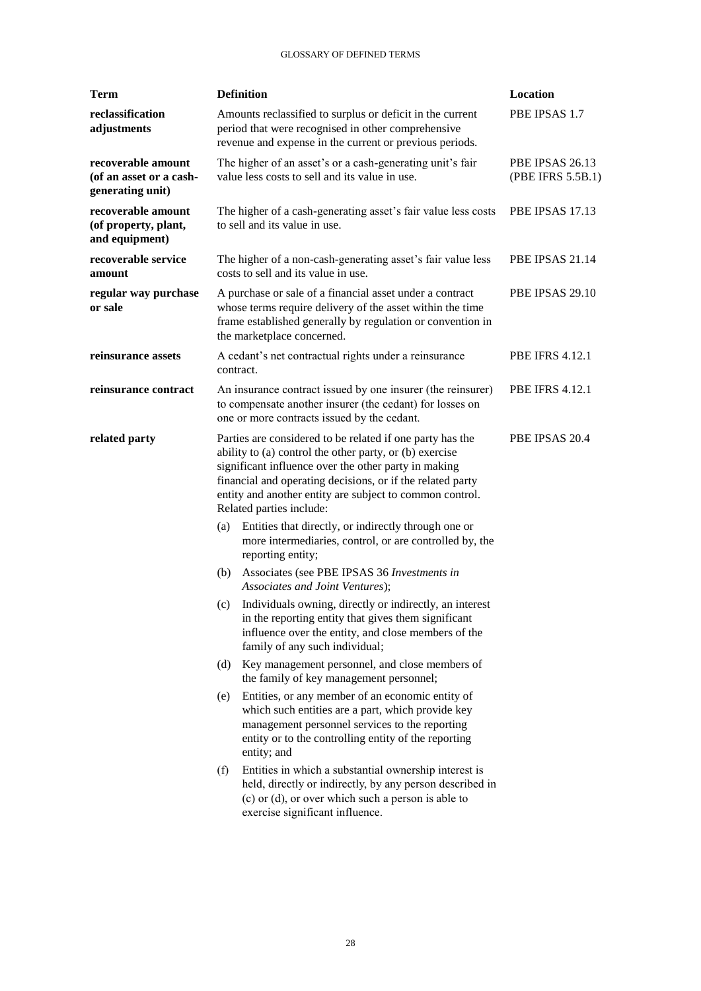| Term                                                              |                                                                                                                                                                                                                                                                                                                                                      | <b>Definition</b>                                                                                                                                                                                                              | Location                             |
|-------------------------------------------------------------------|------------------------------------------------------------------------------------------------------------------------------------------------------------------------------------------------------------------------------------------------------------------------------------------------------------------------------------------------------|--------------------------------------------------------------------------------------------------------------------------------------------------------------------------------------------------------------------------------|--------------------------------------|
| reclassification<br>adjustments                                   |                                                                                                                                                                                                                                                                                                                                                      | Amounts reclassified to surplus or deficit in the current<br>period that were recognised in other comprehensive<br>revenue and expense in the current or previous periods.                                                     | PBE IPSAS 1.7                        |
| recoverable amount<br>(of an asset or a cash-<br>generating unit) |                                                                                                                                                                                                                                                                                                                                                      | The higher of an asset's or a cash-generating unit's fair<br>value less costs to sell and its value in use.                                                                                                                    | PBE IPSAS 26.13<br>(PBE IFRS 5.5B.1) |
| recoverable amount<br>(of property, plant,<br>and equipment)      |                                                                                                                                                                                                                                                                                                                                                      | The higher of a cash-generating asset's fair value less costs<br>to sell and its value in use.                                                                                                                                 | PBE IPSAS 17.13                      |
| recoverable service<br>amount                                     |                                                                                                                                                                                                                                                                                                                                                      | The higher of a non-cash-generating asset's fair value less<br>costs to sell and its value in use.                                                                                                                             | PBE IPSAS 21.14                      |
| regular way purchase<br>or sale                                   |                                                                                                                                                                                                                                                                                                                                                      | A purchase or sale of a financial asset under a contract<br>whose terms require delivery of the asset within the time<br>frame established generally by regulation or convention in<br>the marketplace concerned.              | PBE IPSAS 29.10                      |
| reinsurance assets                                                | contract.                                                                                                                                                                                                                                                                                                                                            | A cedant's net contractual rights under a reinsurance                                                                                                                                                                          | <b>PBE IFRS 4.12.1</b>               |
| reinsurance contract                                              |                                                                                                                                                                                                                                                                                                                                                      | An insurance contract issued by one insurer (the reinsurer)<br>to compensate another insurer (the cedant) for losses on<br>one or more contracts issued by the cedant.                                                         | <b>PBE IFRS 4.12.1</b>               |
| related party                                                     | Parties are considered to be related if one party has the<br>PBE IPSAS 20.4<br>ability to (a) control the other party, or (b) exercise<br>significant influence over the other party in making<br>financial and operating decisions, or if the related party<br>entity and another entity are subject to common control.<br>Related parties include: |                                                                                                                                                                                                                                |                                      |
|                                                                   | (a)                                                                                                                                                                                                                                                                                                                                                  | Entities that directly, or indirectly through one or<br>more intermediaries, control, or are controlled by, the<br>reporting entity;                                                                                           |                                      |
|                                                                   | (b)                                                                                                                                                                                                                                                                                                                                                  | Associates (see PBE IPSAS 36 Investments in<br>Associates and Joint Ventures);                                                                                                                                                 |                                      |
|                                                                   | (c)                                                                                                                                                                                                                                                                                                                                                  | Individuals owning, directly or indirectly, an interest<br>in the reporting entity that gives them significant<br>influence over the entity, and close members of the<br>family of any such individual;                        |                                      |
|                                                                   | (d)                                                                                                                                                                                                                                                                                                                                                  | Key management personnel, and close members of<br>the family of key management personnel;                                                                                                                                      |                                      |
|                                                                   | (e)                                                                                                                                                                                                                                                                                                                                                  | Entities, or any member of an economic entity of<br>which such entities are a part, which provide key<br>management personnel services to the reporting<br>entity or to the controlling entity of the reporting<br>entity; and |                                      |
|                                                                   | (f)                                                                                                                                                                                                                                                                                                                                                  | Entities in which a substantial ownership interest is<br>held, directly or indirectly, by any person described in<br>$(c)$ or $(d)$ , or over which such a person is able to<br>exercise significant influence.                |                                      |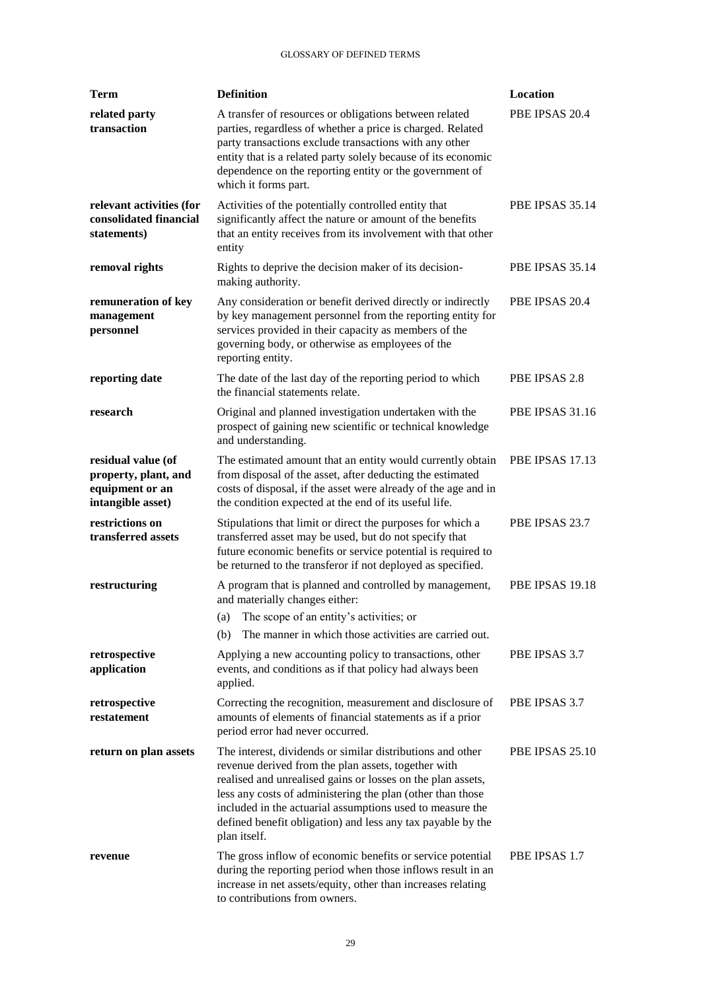| <b>Term</b>                                                                        | <b>Definition</b>                                                                                                                                                                                                                                                                                                                                                                          | Location               |
|------------------------------------------------------------------------------------|--------------------------------------------------------------------------------------------------------------------------------------------------------------------------------------------------------------------------------------------------------------------------------------------------------------------------------------------------------------------------------------------|------------------------|
| related party<br>transaction                                                       | A transfer of resources or obligations between related<br>parties, regardless of whether a price is charged. Related<br>party transactions exclude transactions with any other<br>entity that is a related party solely because of its economic<br>dependence on the reporting entity or the government of<br>which it forms part.                                                         | PBE IPSAS 20.4         |
| relevant activities (for<br>consolidated financial<br>statements)                  | Activities of the potentially controlled entity that<br>significantly affect the nature or amount of the benefits<br>that an entity receives from its involvement with that other<br>entity                                                                                                                                                                                                | PBE IPSAS 35.14        |
| removal rights                                                                     | Rights to deprive the decision maker of its decision-<br>making authority.                                                                                                                                                                                                                                                                                                                 | PBE IPSAS 35.14        |
| remuneration of key<br>management<br>personnel                                     | Any consideration or benefit derived directly or indirectly<br>by key management personnel from the reporting entity for<br>services provided in their capacity as members of the<br>governing body, or otherwise as employees of the<br>reporting entity.                                                                                                                                 | PBE IPSAS 20.4         |
| reporting date                                                                     | The date of the last day of the reporting period to which<br>the financial statements relate.                                                                                                                                                                                                                                                                                              | PBE IPSAS 2.8          |
| research                                                                           | Original and planned investigation undertaken with the<br>prospect of gaining new scientific or technical knowledge<br>and understanding.                                                                                                                                                                                                                                                  | <b>PBE IPSAS 31.16</b> |
| residual value (of<br>property, plant, and<br>equipment or an<br>intangible asset) | The estimated amount that an entity would currently obtain<br>from disposal of the asset, after deducting the estimated<br>costs of disposal, if the asset were already of the age and in<br>the condition expected at the end of its useful life.                                                                                                                                         | <b>PBE IPSAS 17.13</b> |
| restrictions on<br>transferred assets                                              | Stipulations that limit or direct the purposes for which a<br>transferred asset may be used, but do not specify that<br>future economic benefits or service potential is required to<br>be returned to the transferor if not deployed as specified.                                                                                                                                        | PBE IPSAS 23.7         |
| restructuring                                                                      | A program that is planned and controlled by management,<br>and materially changes either:                                                                                                                                                                                                                                                                                                  | <b>PBE IPSAS 19.18</b> |
|                                                                                    | The scope of an entity's activities; or<br>(a)                                                                                                                                                                                                                                                                                                                                             |                        |
|                                                                                    | The manner in which those activities are carried out.<br>(b)                                                                                                                                                                                                                                                                                                                               |                        |
| retrospective<br>application                                                       | Applying a new accounting policy to transactions, other<br>events, and conditions as if that policy had always been<br>applied.                                                                                                                                                                                                                                                            | PBE IPSAS 3.7          |
| retrospective<br>restatement                                                       | Correcting the recognition, measurement and disclosure of<br>amounts of elements of financial statements as if a prior<br>period error had never occurred.                                                                                                                                                                                                                                 | PBE IPSAS 3.7          |
| return on plan assets                                                              | The interest, dividends or similar distributions and other<br>revenue derived from the plan assets, together with<br>realised and unrealised gains or losses on the plan assets,<br>less any costs of administering the plan (other than those<br>included in the actuarial assumptions used to measure the<br>defined benefit obligation) and less any tax payable by the<br>plan itself. | PBE IPSAS 25.10        |
| revenue                                                                            | The gross inflow of economic benefits or service potential<br>during the reporting period when those inflows result in an<br>increase in net assets/equity, other than increases relating<br>to contributions from owners.                                                                                                                                                                 | PBE IPSAS 1.7          |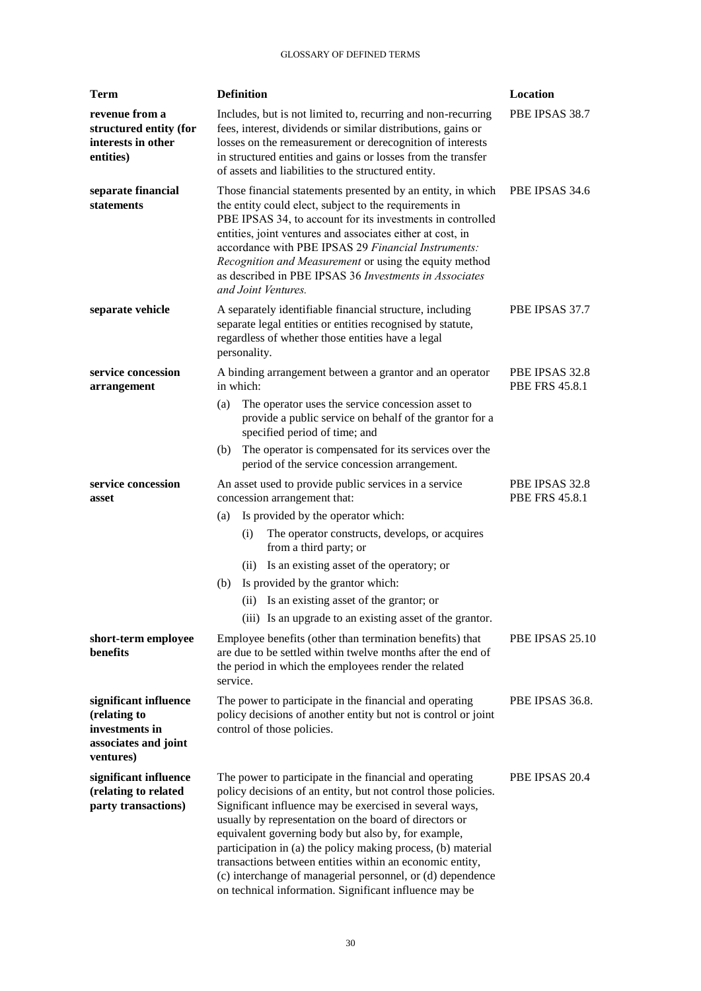| Term                                                                                         | <b>Definition</b>                                                                                                                                                                                                                                                                                                                                                                                                                                                                                                                                                           | Location                                |  |
|----------------------------------------------------------------------------------------------|-----------------------------------------------------------------------------------------------------------------------------------------------------------------------------------------------------------------------------------------------------------------------------------------------------------------------------------------------------------------------------------------------------------------------------------------------------------------------------------------------------------------------------------------------------------------------------|-----------------------------------------|--|
| revenue from a<br>structured entity (for<br>interests in other<br>entities)                  | Includes, but is not limited to, recurring and non-recurring<br>fees, interest, dividends or similar distributions, gains or<br>losses on the remeasurement or derecognition of interests<br>in structured entities and gains or losses from the transfer<br>of assets and liabilities to the structured entity.                                                                                                                                                                                                                                                            | PBE IPSAS 38.7                          |  |
| separate financial<br>statements                                                             | Those financial statements presented by an entity, in which<br>the entity could elect, subject to the requirements in<br>PBE IPSAS 34, to account for its investments in controlled<br>entities, joint ventures and associates either at cost, in<br>accordance with PBE IPSAS 29 Financial Instruments:<br>Recognition and Measurement or using the equity method<br>as described in PBE IPSAS 36 Investments in Associates<br>and Joint Ventures.                                                                                                                         | PBE IPSAS 34.6                          |  |
| separate vehicle                                                                             | A separately identifiable financial structure, including<br>separate legal entities or entities recognised by statute,<br>regardless of whether those entities have a legal<br>personality.                                                                                                                                                                                                                                                                                                                                                                                 | PBE IPSAS 37.7                          |  |
| service concession<br>arrangement                                                            | A binding arrangement between a grantor and an operator<br>in which:                                                                                                                                                                                                                                                                                                                                                                                                                                                                                                        | PBE IPSAS 32.8<br><b>PBE FRS 45.8.1</b> |  |
|                                                                                              | The operator uses the service concession asset to<br>(a)<br>provide a public service on behalf of the grantor for a<br>specified period of time; and                                                                                                                                                                                                                                                                                                                                                                                                                        |                                         |  |
|                                                                                              | The operator is compensated for its services over the<br>(b)<br>period of the service concession arrangement.                                                                                                                                                                                                                                                                                                                                                                                                                                                               |                                         |  |
| service concession<br>asset                                                                  | An asset used to provide public services in a service<br>concession arrangement that:                                                                                                                                                                                                                                                                                                                                                                                                                                                                                       | PBE IPSAS 32.8<br><b>PBE FRS 45.8.1</b> |  |
|                                                                                              | Is provided by the operator which:<br>(a)                                                                                                                                                                                                                                                                                                                                                                                                                                                                                                                                   |                                         |  |
|                                                                                              | The operator constructs, develops, or acquires<br>(i)<br>from a third party; or                                                                                                                                                                                                                                                                                                                                                                                                                                                                                             |                                         |  |
|                                                                                              | Is an existing asset of the operatory; or<br>(i)                                                                                                                                                                                                                                                                                                                                                                                                                                                                                                                            |                                         |  |
|                                                                                              | Is provided by the grantor which:<br>(b)                                                                                                                                                                                                                                                                                                                                                                                                                                                                                                                                    |                                         |  |
|                                                                                              | (ii) Is an existing asset of the grantor; or                                                                                                                                                                                                                                                                                                                                                                                                                                                                                                                                |                                         |  |
|                                                                                              | (iii) Is an upgrade to an existing asset of the grantor.                                                                                                                                                                                                                                                                                                                                                                                                                                                                                                                    |                                         |  |
| short-term employee<br>benefits                                                              | PBE IPSAS 25.10<br>Employee benefits (other than termination benefits) that<br>are due to be settled within twelve months after the end of<br>the period in which the employees render the related<br>service.                                                                                                                                                                                                                                                                                                                                                              |                                         |  |
| significant influence<br>(relating to<br>investments in<br>associates and joint<br>ventures) | The power to participate in the financial and operating<br>PBE IPSAS 36.8.<br>policy decisions of another entity but not is control or joint<br>control of those policies.                                                                                                                                                                                                                                                                                                                                                                                                  |                                         |  |
| significant influence<br>(relating to related<br>party transactions)                         | The power to participate in the financial and operating<br>PBE IPSAS 20.4<br>policy decisions of an entity, but not control those policies.<br>Significant influence may be exercised in several ways,<br>usually by representation on the board of directors or<br>equivalent governing body but also by, for example,<br>participation in (a) the policy making process, (b) material<br>transactions between entities within an economic entity,<br>(c) interchange of managerial personnel, or (d) dependence<br>on technical information. Significant influence may be |                                         |  |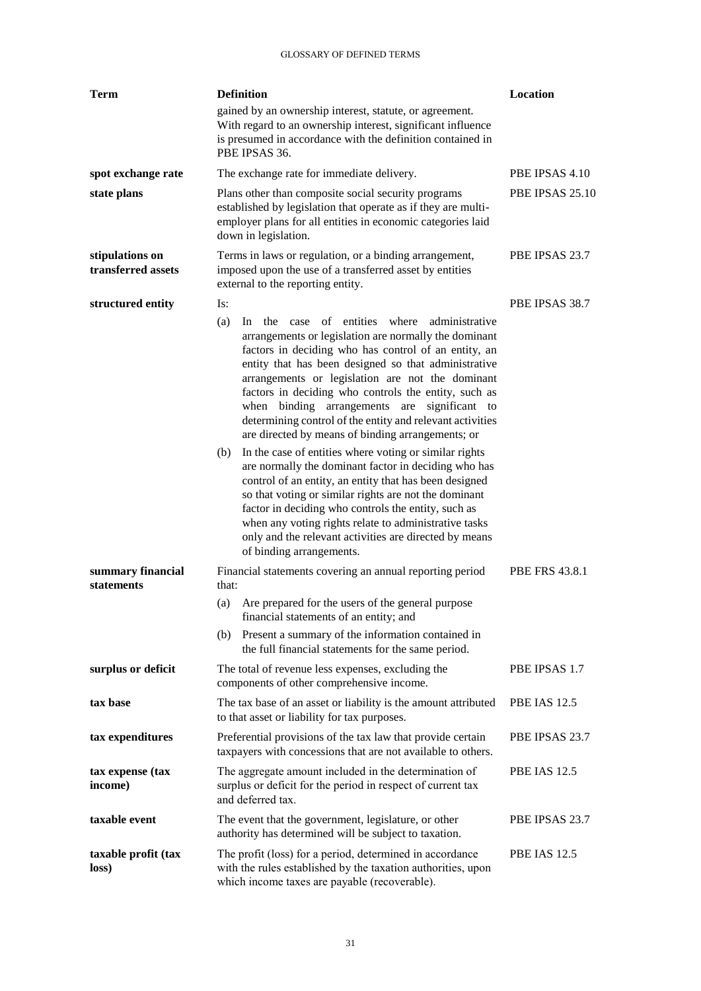| Term                                  | <b>Definition</b>                                                                                                                                                                                                                                                                                                                                                                                                                                                                                                 | Location              |
|---------------------------------------|-------------------------------------------------------------------------------------------------------------------------------------------------------------------------------------------------------------------------------------------------------------------------------------------------------------------------------------------------------------------------------------------------------------------------------------------------------------------------------------------------------------------|-----------------------|
|                                       | gained by an ownership interest, statute, or agreement.<br>With regard to an ownership interest, significant influence<br>is presumed in accordance with the definition contained in<br>PBE IPSAS 36.                                                                                                                                                                                                                                                                                                             |                       |
| spot exchange rate                    | The exchange rate for immediate delivery.                                                                                                                                                                                                                                                                                                                                                                                                                                                                         | PBE IPSAS 4.10        |
| state plans                           | Plans other than composite social security programs<br>established by legislation that operate as if they are multi-<br>employer plans for all entities in economic categories laid<br>down in legislation.                                                                                                                                                                                                                                                                                                       | PBE IPSAS 25.10       |
| stipulations on<br>transferred assets | Terms in laws or regulation, or a binding arrangement,<br>imposed upon the use of a transferred asset by entities<br>external to the reporting entity.                                                                                                                                                                                                                                                                                                                                                            | PBE IPSAS 23.7        |
| structured entity                     | Is:<br>In the case of entities where administrative<br>(a)<br>arrangements or legislation are normally the dominant<br>factors in deciding who has control of an entity, an<br>entity that has been designed so that administrative<br>arrangements or legislation are not the dominant<br>factors in deciding who controls the entity, such as<br>when binding arrangements are significant to<br>determining control of the entity and relevant activities<br>are directed by means of binding arrangements; or | PBE IPSAS 38.7        |
|                                       | In the case of entities where voting or similar rights<br>(b)<br>are normally the dominant factor in deciding who has<br>control of an entity, an entity that has been designed<br>so that voting or similar rights are not the dominant<br>factor in deciding who controls the entity, such as<br>when any voting rights relate to administrative tasks<br>only and the relevant activities are directed by means<br>of binding arrangements.                                                                    |                       |
| summary financial<br>statements       | Financial statements covering an annual reporting period<br>that:<br>Are prepared for the users of the general purpose<br>(a)<br>financial statements of an entity; and                                                                                                                                                                                                                                                                                                                                           | <b>PBE FRS 43.8.1</b> |
|                                       | Present a summary of the information contained in<br>(b)<br>the full financial statements for the same period.                                                                                                                                                                                                                                                                                                                                                                                                    |                       |
| surplus or deficit                    | The total of revenue less expenses, excluding the<br>components of other comprehensive income.                                                                                                                                                                                                                                                                                                                                                                                                                    | PBE IPSAS 1.7         |
| tax base                              | The tax base of an asset or liability is the amount attributed<br>to that asset or liability for tax purposes.                                                                                                                                                                                                                                                                                                                                                                                                    | <b>PBE IAS 12.5</b>   |
| tax expenditures                      | Preferential provisions of the tax law that provide certain<br>taxpayers with concessions that are not available to others.                                                                                                                                                                                                                                                                                                                                                                                       | PBE IPSAS 23.7        |
| tax expense (tax<br>income)           | The aggregate amount included in the determination of<br>surplus or deficit for the period in respect of current tax<br>and deferred tax.                                                                                                                                                                                                                                                                                                                                                                         | <b>PBE IAS 12.5</b>   |
| taxable event                         | The event that the government, legislature, or other<br>authority has determined will be subject to taxation.                                                                                                                                                                                                                                                                                                                                                                                                     | PBE IPSAS 23.7        |
| taxable profit (tax<br>loss)          | The profit (loss) for a period, determined in accordance<br>with the rules established by the taxation authorities, upon<br>which income taxes are payable (recoverable).                                                                                                                                                                                                                                                                                                                                         | <b>PBE IAS 12.5</b>   |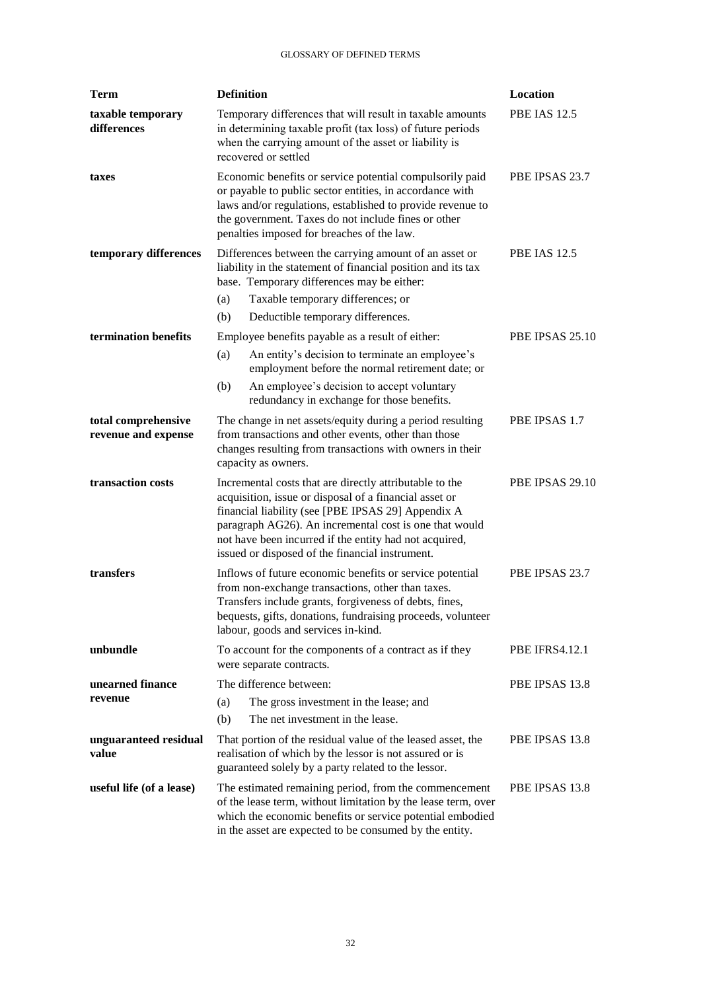| <b>Term</b>                                | <b>Definition</b>                                                                                                                                                                                                                                                                                                                              | Location              |
|--------------------------------------------|------------------------------------------------------------------------------------------------------------------------------------------------------------------------------------------------------------------------------------------------------------------------------------------------------------------------------------------------|-----------------------|
| taxable temporary<br>differences           | Temporary differences that will result in taxable amounts<br>in determining taxable profit (tax loss) of future periods<br>when the carrying amount of the asset or liability is<br>recovered or settled                                                                                                                                       | <b>PBE IAS 12.5</b>   |
| taxes                                      | Economic benefits or service potential compulsorily paid<br>or payable to public sector entities, in accordance with<br>laws and/or regulations, established to provide revenue to<br>the government. Taxes do not include fines or other<br>penalties imposed for breaches of the law.                                                        | PBE IPSAS 23.7        |
| temporary differences                      | Differences between the carrying amount of an asset or<br>liability in the statement of financial position and its tax<br>base. Temporary differences may be either:<br>Taxable temporary differences; or<br>(a)                                                                                                                               | <b>PBE IAS 12.5</b>   |
|                                            | (b)<br>Deductible temporary differences.                                                                                                                                                                                                                                                                                                       |                       |
| termination benefits                       | Employee benefits payable as a result of either:<br>(a)<br>An entity's decision to terminate an employee's<br>employment before the normal retirement date; or                                                                                                                                                                                 | PBE IPSAS 25.10       |
|                                            | (b)<br>An employee's decision to accept voluntary<br>redundancy in exchange for those benefits.                                                                                                                                                                                                                                                |                       |
| total comprehensive<br>revenue and expense | The change in net assets/equity during a period resulting<br>from transactions and other events, other than those<br>changes resulting from transactions with owners in their<br>capacity as owners.                                                                                                                                           | PBE IPSAS 1.7         |
| transaction costs                          | Incremental costs that are directly attributable to the<br>acquisition, issue or disposal of a financial asset or<br>financial liability (see [PBE IPSAS 29] Appendix A<br>paragraph AG26). An incremental cost is one that would<br>not have been incurred if the entity had not acquired,<br>issued or disposed of the financial instrument. | PBE IPSAS 29.10       |
| transfers                                  | Inflows of future economic benefits or service potential<br>from non-exchange transactions, other than taxes.<br>Transfers include grants, forgiveness of debts, fines,<br>bequests, gifts, donations, fundraising proceeds, volunteer<br>labour, goods and services in-kind.                                                                  | PBE IPSAS 23.7        |
| unbundle                                   | To account for the components of a contract as if they<br>were separate contracts.                                                                                                                                                                                                                                                             | <b>PBE IFRS4.12.1</b> |
| unearned finance<br>revenue                | The difference between:<br>(a)<br>The gross investment in the lease; and<br>The net investment in the lease.<br>(b)                                                                                                                                                                                                                            | PBE IPSAS 13.8        |
| unguaranteed residual<br>value             | That portion of the residual value of the leased asset, the<br>realisation of which by the lessor is not assured or is<br>guaranteed solely by a party related to the lessor.                                                                                                                                                                  | PBE IPSAS 13.8        |
| useful life (of a lease)                   | The estimated remaining period, from the commencement<br>of the lease term, without limitation by the lease term, over<br>which the economic benefits or service potential embodied<br>in the asset are expected to be consumed by the entity.                                                                                                 | PBE IPSAS 13.8        |